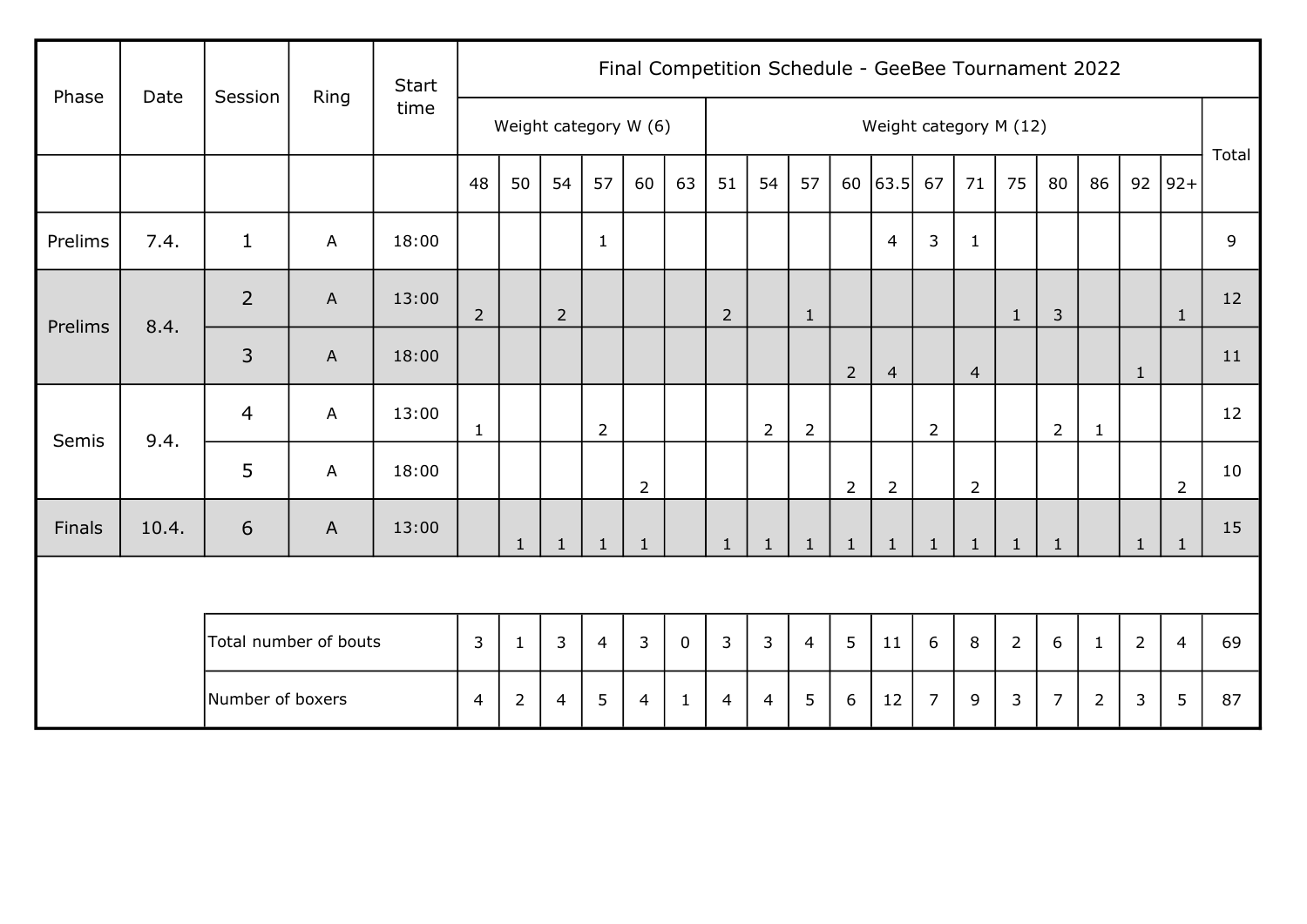| Phase   | Date  | Session               | Ring                      | <b>Start</b> |                |                |                       |                |                |              |                |                |                |                | Final Competition Schedule - GeeBee Tournament 2022 |                |                |              |                |                |                |                |       |
|---------|-------|-----------------------|---------------------------|--------------|----------------|----------------|-----------------------|----------------|----------------|--------------|----------------|----------------|----------------|----------------|-----------------------------------------------------|----------------|----------------|--------------|----------------|----------------|----------------|----------------|-------|
|         |       |                       |                           | time         |                |                | Weight category W (6) |                |                |              |                |                |                |                | Weight category M (12)                              |                |                |              |                |                |                |                |       |
|         |       |                       |                           |              | 48             | 50             | 54                    | 57             | 60             | 63           | 51             | 54             | 57             |                | $60$ 63.5                                           | 67             | 71             | 75           | 80             | 86             | 92             | $92+$          | Total |
| Prelims | 7.4.  | $\mathbf{1}$          | A                         | 18:00        |                |                |                       | $\mathbf{1}$   |                |              |                |                |                |                | $\overline{4}$                                      | 3              | $\mathbf{1}$   |              |                |                |                |                | 9     |
| Prelims | 8.4.  | $\overline{2}$        | $\boldsymbol{\mathsf{A}}$ | 13:00        | $\overline{2}$ |                | $\overline{2}$        |                |                |              | $\overline{2}$ |                | $\mathbf{1}$   |                |                                                     |                |                | $\mathbf{1}$ | $\mathfrak{Z}$ |                |                | $\mathbf{1}$   | 12    |
|         |       | $\overline{3}$        | $\mathsf{A}$              | 18:00        |                |                |                       |                |                |              |                |                |                | $2^{\circ}$    | $\overline{4}$                                      |                | $\overline{4}$ |              |                |                | $\mathbf{1}$   |                | 11    |
| Semis   | 9.4.  | $\overline{4}$        | A                         | 13:00        | $\mathbf{1}$   |                |                       | $\overline{2}$ |                |              |                | $\overline{2}$ | $\overline{2}$ |                |                                                     | $\overline{2}$ |                |              | $\overline{2}$ | $\mathbf{1}$   |                |                | 12    |
|         |       | 5                     | A                         | 18:00        |                |                |                       |                | $\overline{2}$ |              |                |                |                | $\overline{2}$ | $\overline{2}$                                      |                | $2^{\circ}$    |              |                |                |                | $\overline{2}$ | 10    |
| Finals  | 10.4. | 6                     | A                         | 13:00        |                | $\mathbf{1}$   | $\mathbf{1}$          | $\mathbf{1}$   | $\mathbf{1}$   |              | $\mathbf{1}$   | $\mathbf{1}$   | $\mathbf{1}$   | $\mathbf{1}$   | $\mathbf{1}$                                        | $\mathbf{1}$   | $\mathbf{1}$   | $\mathbf{1}$ | $\mathbf{1}$   |                | $\mathbf{1}$   | $\mathbf{1}$   | 15    |
|         |       |                       |                           |              |                |                |                       |                |                |              |                |                |                |                |                                                     |                |                |              |                |                |                |                |       |
|         |       | Total number of bouts |                           |              | 3              | $\mathbf{1}$   | $\mathsf{3}$          | $\overline{4}$ | $\overline{3}$ | $\mathbf 0$  | $\overline{3}$ | $\overline{3}$ | $\overline{4}$ | 5              | 11                                                  | 6              | 8              | $2^{\circ}$  | 6              | $\mathbf{1}$   | $\overline{2}$ | $\overline{4}$ | 69    |
|         |       | Number of boxers      |                           |              | $\overline{4}$ | $\overline{2}$ | $\overline{4}$        | 5              | $\overline{4}$ | $\mathbf{1}$ | $\overline{4}$ | $\overline{4}$ | 5              | 6              | 12                                                  | $\overline{7}$ | 9              | $\mathbf{3}$ | $\overline{7}$ | $\overline{2}$ | 3              | 5              | 87    |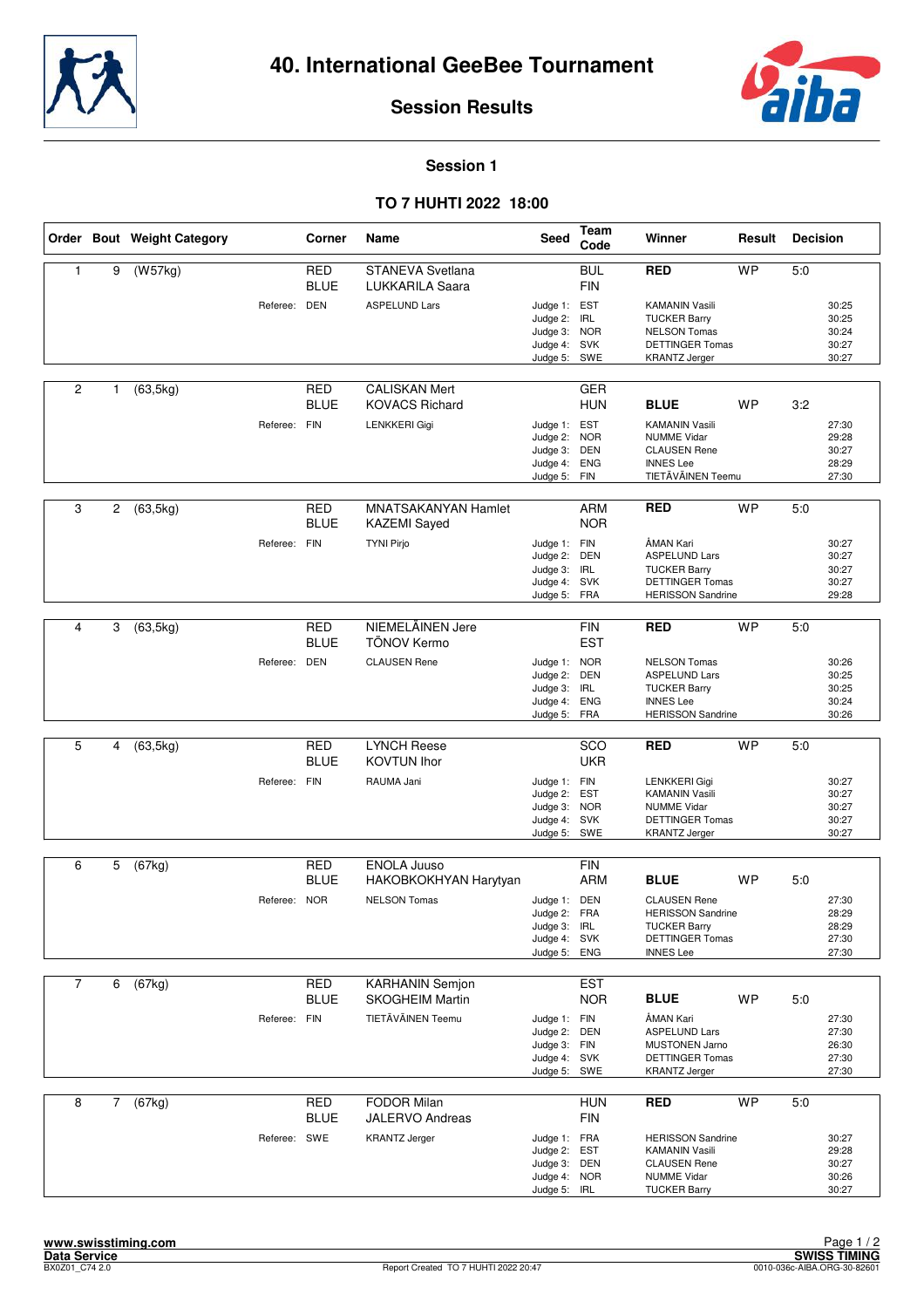



#### **Session 1**

#### **TO 7 HUHTI 2022 18:00**

|                |              | Order Bout Weight Category |              | Corner                    | Name                                             | Seed                                                         | Team<br>Code             | Winner                                                                                            | Result    | <b>Decision</b> |                                  |
|----------------|--------------|----------------------------|--------------|---------------------------|--------------------------------------------------|--------------------------------------------------------------|--------------------------|---------------------------------------------------------------------------------------------------|-----------|-----------------|----------------------------------|
| 1              | 9            | (W57kg)                    |              | <b>RED</b><br><b>BLUE</b> | <b>STANEVA Svetlana</b><br>LUKKARILA Saara       |                                                              | <b>BUL</b><br><b>FIN</b> | <b>RED</b>                                                                                        | <b>WP</b> | 5.0             |                                  |
|                |              |                            | Referee: DEN |                           | <b>ASPELUND Lars</b>                             | Judge 1: EST<br>Judge 2: IRL<br>Judge 3: NOR                 |                          | <b>KAMANIN Vasili</b><br><b>TUCKER Barry</b><br><b>NELSON Tomas</b>                               |           |                 | 30:25<br>30:25<br>30:24          |
|                |              |                            |              |                           |                                                  | Judge 4: SVK<br>Judge 5: SWE                                 |                          | <b>DETTINGER Tomas</b><br><b>KRANTZ Jerger</b>                                                    |           |                 | 30:27<br>30:27                   |
| $\overline{c}$ | $\mathbf{1}$ | (63, 5kg)                  |              | RED<br><b>BLUE</b>        | <b>CALISKAN Mert</b><br><b>KOVACS Richard</b>    |                                                              | GER<br><b>HUN</b>        | <b>BLUE</b>                                                                                       | <b>WP</b> | 3:2             |                                  |
|                |              |                            | Referee: FIN |                           | <b>LENKKERI Gigi</b>                             | Judge 1: EST<br>Judge 2: NOR                                 |                          | <b>KAMANIN Vasili</b><br><b>NUMME Vidar</b>                                                       |           |                 | 27:30<br>29:28                   |
|                |              |                            |              |                           |                                                  | Judge 3:<br>Judge 4: ENG<br>Judge 5: FIN                     | DEN                      | <b>CLAUSEN Rene</b><br><b>INNES Lee</b><br>TIETÄVÄINEN Teemu                                      |           |                 | 30:27<br>28:29<br>27:30          |
| 3              | 2            | (63, 5kg)                  |              | RED                       | <b>MNATSAKANYAN Hamlet</b>                       |                                                              | <b>ARM</b>               | <b>RED</b>                                                                                        | <b>WP</b> | 5:0             |                                  |
|                |              |                            | Referee: FIN | <b>BLUE</b>               | <b>KAZEMI</b> Sayed<br><b>TYNI Pirjo</b>         | Judge 1: FIN                                                 | <b>NOR</b>               | ÅMAN Kari                                                                                         |           |                 | 30:27                            |
|                |              |                            |              |                           |                                                  | Judge 2: DEN<br>Judge 3: IRL<br>Judge 4: SVK<br>Judge 5: FRA |                          | <b>ASPELUND Lars</b><br><b>TUCKER Barry</b><br><b>DETTINGER Tomas</b><br><b>HERISSON Sandrine</b> |           |                 | 30:27<br>30:27<br>30:27<br>29:28 |
|                |              |                            |              |                           |                                                  |                                                              |                          |                                                                                                   |           |                 |                                  |
| 4              | 3            | (63, 5kg)                  |              | <b>RED</b><br><b>BLUE</b> | NIEMELÄINEN Jere<br>TÖNOV Kermo                  |                                                              | <b>FIN</b><br><b>EST</b> | <b>RED</b>                                                                                        | <b>WP</b> | 5:0             |                                  |
|                |              |                            | Referee: DEN |                           | <b>CLAUSEN Rene</b>                              | Judge 1: NOR<br>Judge 2:<br>Judge 3:                         | <b>DEN</b><br>IRL        | <b>NELSON Tomas</b><br><b>ASPELUND Lars</b><br><b>TUCKER Barry</b>                                |           |                 | 30:26<br>30:25<br>30:25          |
|                |              |                            |              |                           |                                                  | Judge 4: ENG<br>Judge 5: FRA                                 |                          | <b>INNES Lee</b><br><b>HERISSON Sandrine</b>                                                      |           |                 | 30:24<br>30:26                   |
| 5              | 4            | (63, 5kg)                  |              | <b>RED</b><br><b>BLUE</b> | <b>LYNCH Reese</b><br><b>KOVTUN Ihor</b>         |                                                              | SCO<br><b>UKR</b>        | <b>RED</b>                                                                                        | <b>WP</b> | 5:0             |                                  |
|                |              |                            | Referee: FIN |                           | RAUMA Jani                                       | Judge 1: FIN<br>Judge 2: EST                                 |                          | LENKKERI Gigi<br><b>KAMANIN Vasili</b>                                                            |           |                 | 30:27<br>30:27                   |
|                |              |                            |              |                           |                                                  | Judge 3: NOR<br>Judge 4: SVK<br>Judge 5:                     | SWE                      | <b>NUMME Vidar</b><br><b>DETTINGER Tomas</b><br><b>KRANTZ Jerger</b>                              |           |                 | 30:27<br>30:27<br>30:27          |
|                |              |                            |              |                           |                                                  |                                                              |                          |                                                                                                   |           |                 |                                  |
| 6              | 5            | (67kg)                     |              | <b>RED</b><br><b>BLUE</b> | <b>ENOLA Juuso</b><br>HAKOBKOKHYAN Harytyan      |                                                              | <b>FIN</b><br><b>ARM</b> | <b>BLUE</b>                                                                                       | <b>WP</b> | 5:0             |                                  |
|                |              |                            | Referee: NOR |                           | <b>NELSON Tomas</b>                              | Judge 1: DEN<br>Judge 2: FRA                                 |                          | <b>CLAUSEN Rene</b><br><b>HERISSON Sandrine</b>                                                   |           |                 | 27:30<br>28:29                   |
|                |              |                            |              |                           |                                                  | Judge 3: IRL<br>Judge 4: SVK<br>Judge 5: ENG                 |                          | <b>TUCKER Barry</b><br><b>DETTINGER Tomas</b><br><b>INNES Lee</b>                                 |           |                 | 28:29<br>27:30<br>27:30          |
|                |              |                            |              |                           |                                                  |                                                              |                          |                                                                                                   |           |                 |                                  |
| $\overline{7}$ | 6            | (67kg)                     |              | <b>RED</b><br><b>BLUE</b> | <b>KARHANIN Semjon</b><br><b>SKOGHEIM Martin</b> |                                                              | <b>EST</b><br><b>NOR</b> | <b>BLUE</b>                                                                                       | <b>WP</b> | 5:0             |                                  |
|                |              |                            | Referee: FIN |                           | TIETÄVÄINEN Teemu                                | Judge 1: FIN                                                 |                          | ÅMAN Kari                                                                                         |           |                 | 27:30                            |
|                |              |                            |              |                           |                                                  | Judge 2: DEN<br>Judge 3: FIN                                 |                          | <b>ASPELUND Lars</b><br><b>MUSTONEN Jarno</b>                                                     |           |                 | 27:30<br>26:30                   |
|                |              |                            |              |                           |                                                  | Judge 4: SVK<br>Judge 5: SWE                                 |                          | <b>DETTINGER Tomas</b><br><b>KRANTZ Jerger</b>                                                    |           |                 | 27:30<br>27:30                   |
| 8              | $7^{\circ}$  | (67kg)                     |              | <b>RED</b>                | <b>FODOR Milan</b>                               |                                                              | <b>HUN</b>               | <b>RED</b>                                                                                        | <b>WP</b> | 5:0             |                                  |
|                |              |                            | Referee: SWE | <b>BLUE</b>               | <b>JALERVO Andreas</b><br><b>KRANTZ Jerger</b>   | Judge 1: FRA                                                 | <b>FIN</b>               | <b>HERISSON Sandrine</b>                                                                          |           |                 | 30:27                            |
|                |              |                            |              |                           |                                                  | Judge 2: EST<br>Judge 3: DEN<br>Judge 4: NOR<br>Judge 5: IRL |                          | <b>KAMANIN Vasili</b><br><b>CLAUSEN Rene</b><br><b>NUMME Vidar</b><br><b>TUCKER Barry</b>         |           |                 | 29:28<br>30:27<br>30:26<br>30:27 |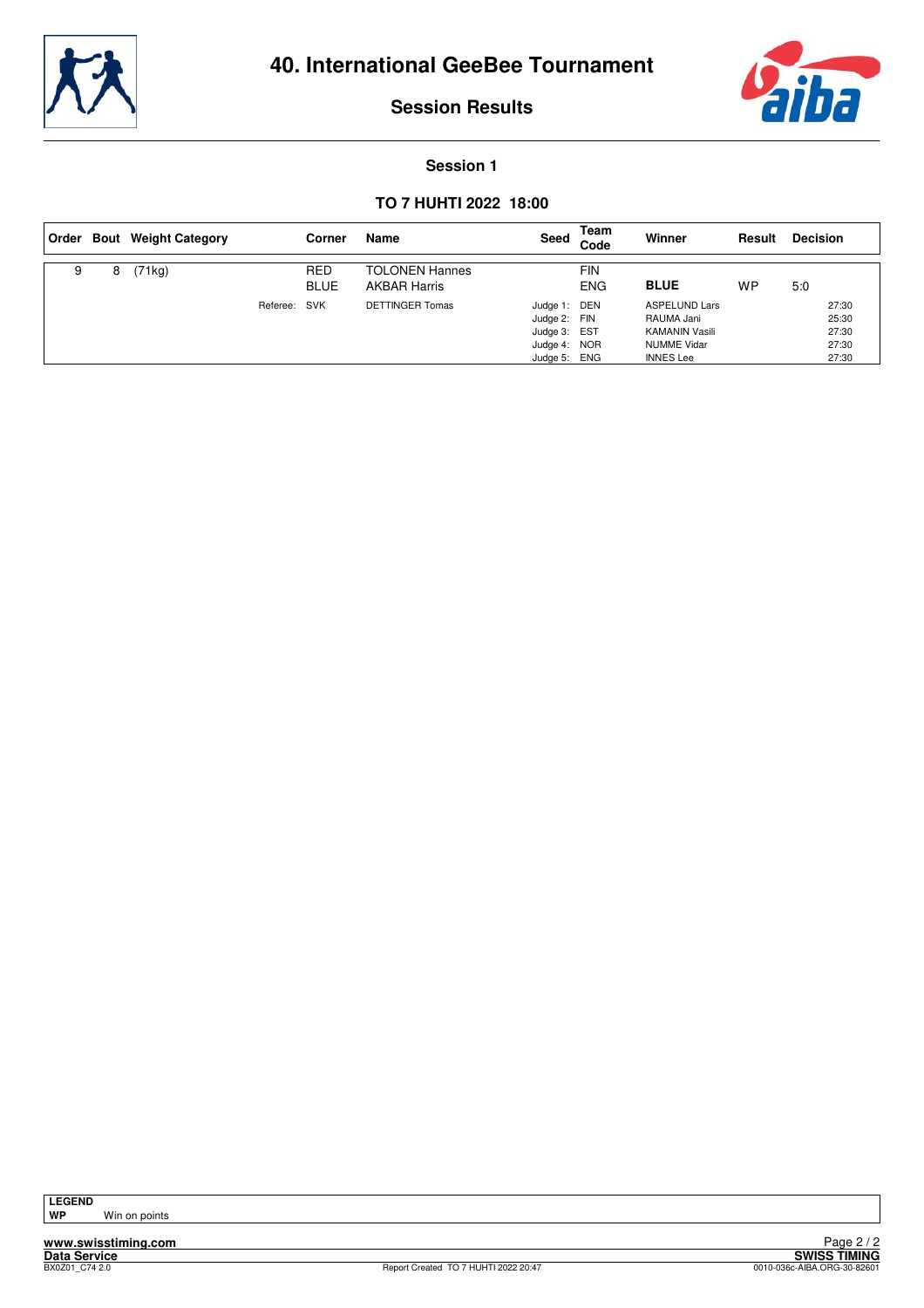



#### **Session 1**

#### **TO 7 HUHTI 2022 18:00**

|   |   | Order Bout Weight Category |          | Corner                    | Name                                         | Seed                                                                         | Team<br>Code      | Winner                                                                                                | Result    | <b>Decision</b>                           |
|---|---|----------------------------|----------|---------------------------|----------------------------------------------|------------------------------------------------------------------------------|-------------------|-------------------------------------------------------------------------------------------------------|-----------|-------------------------------------------|
| 9 | 8 | (71kg)                     |          | <b>RED</b><br><b>BLUE</b> | <b>TOLONEN Hannes</b><br><b>AKBAR Harris</b> |                                                                              | FIN<br><b>ENG</b> | <b>BLUE</b>                                                                                           | <b>WP</b> | 5:0                                       |
|   |   |                            | Referee: | SVK                       | <b>DETTINGER Tomas</b>                       | Judge 1: DEN<br>Judge 2: FIN<br>Judge 3: EST<br>Judge 4: NOR<br>Judge 5: ENG |                   | <b>ASPELUND Lars</b><br>RAUMA Jani<br><b>KAMANIN Vasili</b><br><b>NUMME Vidar</b><br><b>INNES</b> Lee |           | 27:30<br>25:30<br>27:30<br>27:30<br>27:30 |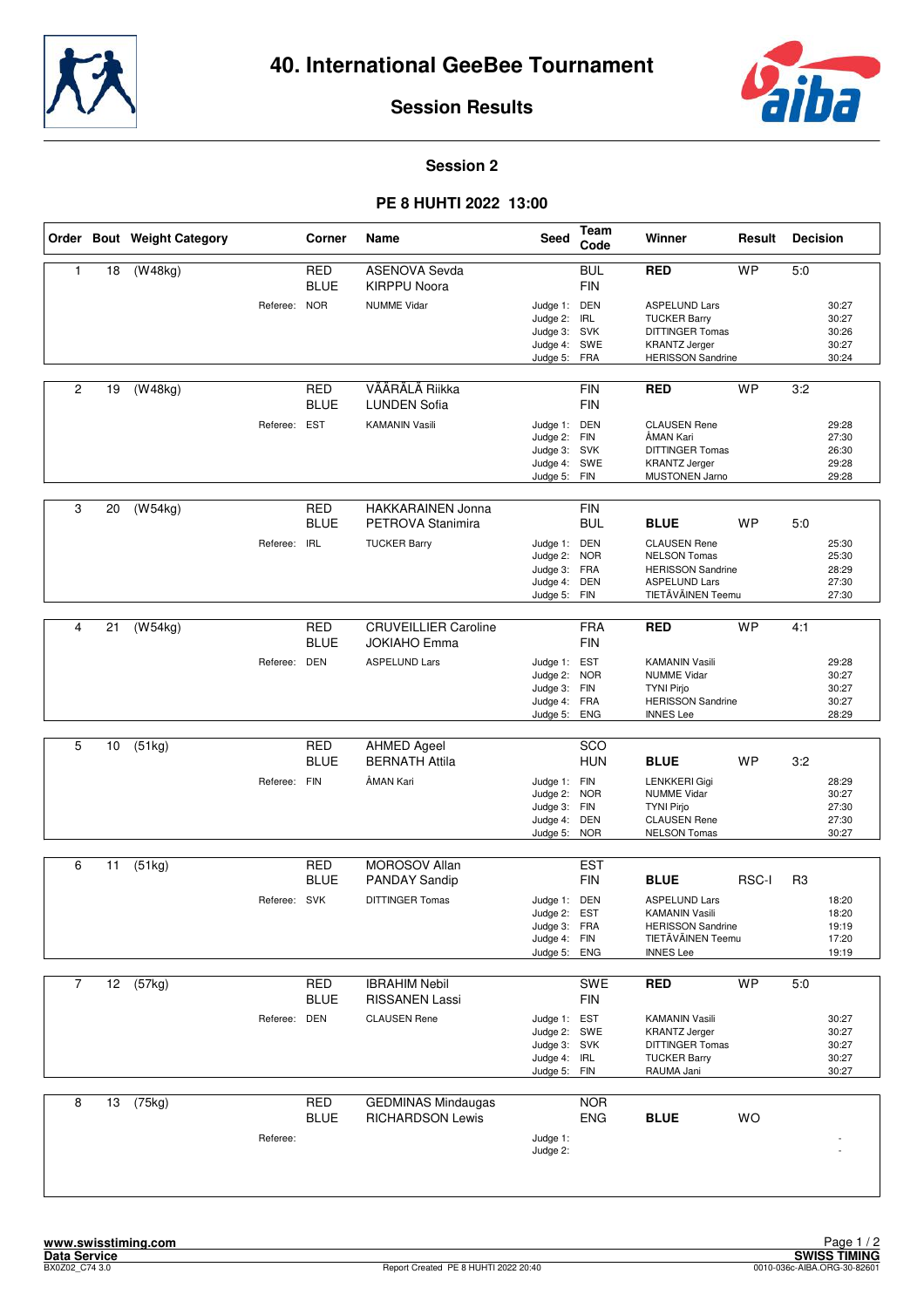



#### **Session 2**

#### **PE 8 HUHTI 2022 13:00**

|                |    | Order Bout Weight Category |              | Corner                    | Name                                                 | Seed                                                                         | Team<br>Code             | Winner                                                                                                                | Result       | <b>Decision</b> |                                           |
|----------------|----|----------------------------|--------------|---------------------------|------------------------------------------------------|------------------------------------------------------------------------------|--------------------------|-----------------------------------------------------------------------------------------------------------------------|--------------|-----------------|-------------------------------------------|
| $\mathbf{1}$   | 18 | (W48kg)                    |              | <b>RED</b><br><b>BLUE</b> | <b>ASENOVA Sevda</b><br><b>KIRPPU Noora</b>          |                                                                              | <b>BUL</b><br><b>FIN</b> | <b>RED</b>                                                                                                            | <b>WP</b>    | 5.0             |                                           |
|                |    |                            | Referee: NOR |                           | <b>NUMME Vidar</b>                                   | Judge 1: DEN<br>Judge 2: IRL<br>Judge 3: SVK<br>Judge 4: SWE<br>Judge 5:     | FRA                      | <b>ASPELUND Lars</b><br><b>TUCKER Barry</b><br>DITTINGER Tomas<br><b>KRANTZ Jerger</b><br><b>HERISSON Sandrine</b>    |              |                 | 30:27<br>30:27<br>30:26<br>30:27<br>30:24 |
| $\overline{2}$ | 19 | $\overline{(W48kg)}$       |              | <b>RED</b><br><b>BLUE</b> | VÄÄRÄLÄ Riikka<br><b>LUNDEN Sofia</b>                |                                                                              | <b>FIN</b><br><b>FIN</b> | <b>RED</b>                                                                                                            | <b>WP</b>    | 3:2             |                                           |
|                |    |                            | Referee: EST |                           | <b>KAMANIN Vasili</b>                                | Judge 1: DEN<br>Judge 2:<br>Judge 3: SVK<br>Judge 4: SWE<br>Judge 5: FIN     | <b>FIN</b>               | <b>CLAUSEN Rene</b><br>ÅMAN Kari<br><b>DITTINGER Tomas</b><br><b>KRANTZ Jerger</b><br><b>MUSTONEN Jarno</b>           |              |                 | 29:28<br>27:30<br>26:30<br>29:28<br>29:28 |
| 3              | 20 | (W54kg)                    |              | RED<br><b>BLUE</b>        | <b>HAKKARAINEN Jonna</b><br>PETROVA Stanimira        |                                                                              | <b>FIN</b><br><b>BUL</b> | <b>BLUE</b>                                                                                                           | <b>WP</b>    | 5:0             |                                           |
|                |    |                            | Referee: IRL |                           | <b>TUCKER Barry</b>                                  | Judge 1: DEN<br>Judge 2: NOR<br>Judge 3: FRA<br>Judge 4:<br>Judge 5: FIN     | <b>DEN</b>               | <b>CLAUSEN Rene</b><br><b>NELSON Tomas</b><br><b>HERISSON Sandrine</b><br><b>ASPELUND Lars</b><br>TIETÄVÄINEN Teemu   |              |                 | 25:30<br>25:30<br>28:29<br>27:30<br>27:30 |
| 4              | 21 | (W54kg)                    |              | <b>RED</b><br><b>BLUE</b> | <b>CRUVEILLIER Caroline</b><br><b>JOKIAHO Emma</b>   |                                                                              | <b>FRA</b><br><b>FIN</b> | <b>RED</b>                                                                                                            | <b>WP</b>    | 4:1             |                                           |
|                |    |                            | Referee: DEN |                           | <b>ASPELUND Lars</b>                                 | Judge 1: EST<br>Judge 2:<br>Judge 3: FIN<br>Judge 4: FRA<br>Judge 5: ENG     | <b>NOR</b>               | <b>KAMANIN Vasili</b><br><b>NUMME Vidar</b><br><b>TYNI Pirjo</b><br><b>HERISSON Sandrine</b><br><b>INNES Lee</b>      |              |                 | 29:28<br>30:27<br>30:27<br>30:27<br>28:29 |
| 5              | 10 | (51kg)                     |              | <b>RED</b>                | <b>AHMED Ageel</b>                                   |                                                                              | SCO                      |                                                                                                                       |              |                 |                                           |
|                |    |                            | Referee: FIN | <b>BLUE</b>               | <b>BERNATH Attila</b><br>ÅMAN Kari                   | Judge 1: FIN<br>Judge 2: NOR<br>Judge 3: FIN<br>Judge 4: DEN<br>Judge 5:     | <b>HUN</b><br><b>NOR</b> | <b>BLUE</b><br>LENKKERI Gigi<br><b>NUMME Vidar</b><br><b>TYNI Pirjo</b><br><b>CLAUSEN Rene</b><br><b>NELSON Tomas</b> | <b>WP</b>    | 3:2             | 28:29<br>30:27<br>27:30<br>27:30<br>30:27 |
| 6              | 11 | (51kg)                     |              | RED                       | <b>MOROSOV Allan</b>                                 |                                                                              | <b>EST</b>               |                                                                                                                       |              |                 |                                           |
|                |    |                            | Referee: SVK | <b>BLUE</b>               | <b>PANDAY Sandip</b><br><b>DITTINGER Tomas</b>       | Judge 1: DEN                                                                 | FIN                      | <b>BLUE</b><br><b>ASPELUND Lars</b>                                                                                   | <b>RSC-I</b> | R <sub>3</sub>  | 18:20                                     |
|                |    |                            |              |                           |                                                      | Judge 2:<br>Judge 3: FRA<br>Judge 4: FIN<br>Judge 5: ENG                     | <b>EST</b>               | KAMANIN Vasili<br><b>HERISSON Sandrine</b><br>TIETÄVÄINEN Teemu<br><b>INNES Lee</b>                                   |              |                 | 18:20<br>19:19<br>17:20<br>19:19          |
| $\overline{7}$ | 12 | (57kg)                     |              | RED<br><b>BLUE</b>        | <b>IBRAHIM Nebil</b><br><b>RISSANEN Lassi</b>        |                                                                              | SWE<br><b>FIN</b>        | <b>RED</b>                                                                                                            | <b>WP</b>    | 5:0             |                                           |
|                |    |                            | Referee:     | DEN                       | <b>CLAUSEN Rene</b>                                  | Judge 1: EST<br>Judge 2: SWE<br>Judge 3: SVK<br>Judge 4: IRL<br>Judge 5: FIN |                          | <b>KAMANIN Vasili</b><br><b>KRANTZ Jerger</b><br><b>DITTINGER Tomas</b><br><b>TUCKER Barry</b><br>RAUMA Jani          |              |                 | 30:27<br>30:27<br>30:27<br>30:27<br>30:27 |
| 8              | 13 | (75kg)                     |              | <b>RED</b><br><b>BLUE</b> | <b>GEDMINAS Mindaugas</b><br><b>RICHARDSON Lewis</b> |                                                                              | <b>NOR</b><br><b>ENG</b> | <b>BLUE</b>                                                                                                           | <b>WO</b>    |                 |                                           |
|                |    |                            | Referee:     |                           |                                                      | Judge 1:<br>Judge 2:                                                         |                          |                                                                                                                       |              |                 |                                           |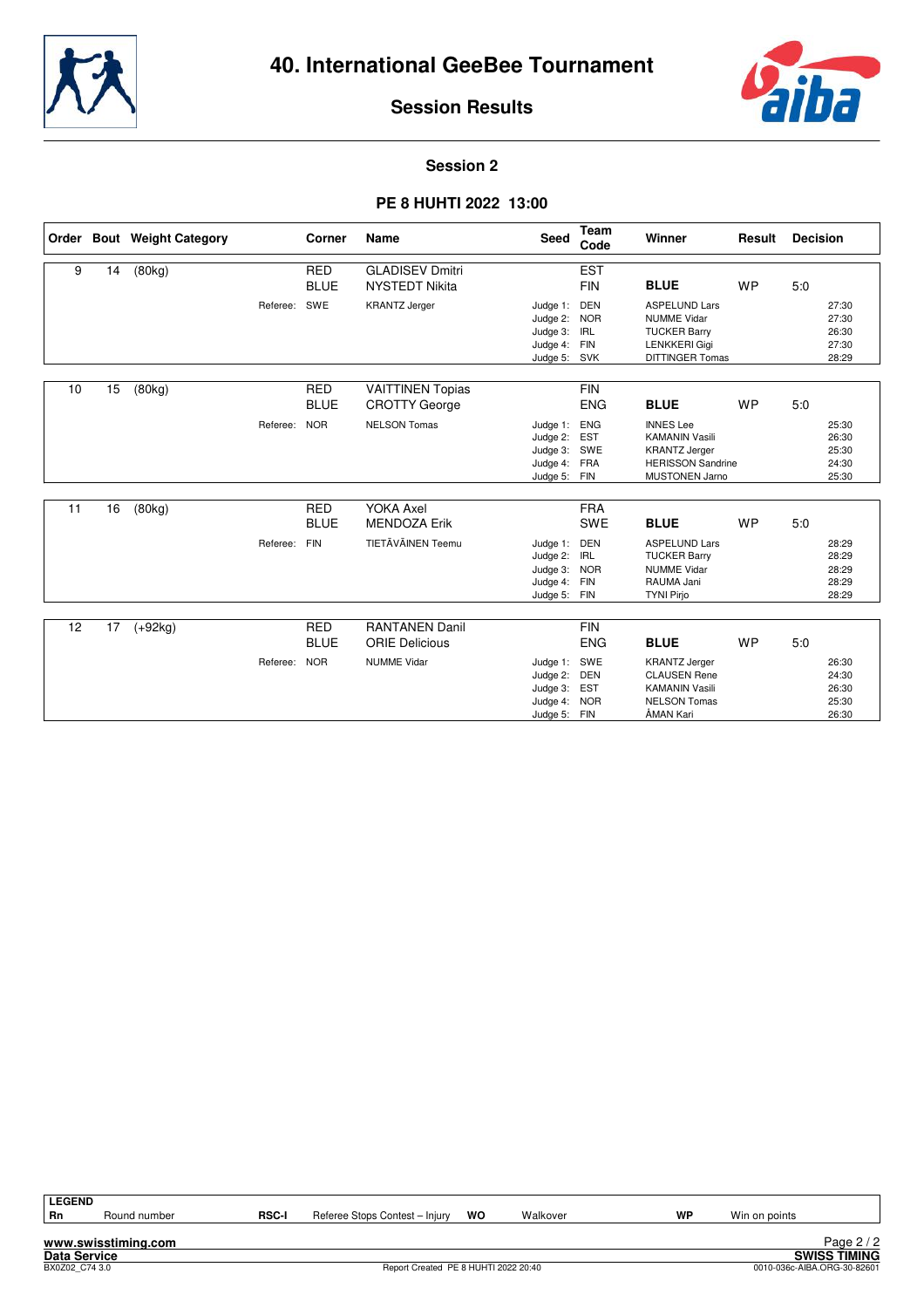



#### **Session 2**

#### **PE 8 HUHTI 2022 13:00**

|    |    | Order Bout Weight Category |          | Corner                    | Name                                            | Seed                                                                     | <b>Team</b><br>Code                                  | Winner                                                                                                                 | Result    | <b>Decision</b>                           |  |
|----|----|----------------------------|----------|---------------------------|-------------------------------------------------|--------------------------------------------------------------------------|------------------------------------------------------|------------------------------------------------------------------------------------------------------------------------|-----------|-------------------------------------------|--|
| 9  | 14 | (80kg)                     |          | <b>RED</b><br><b>BLUE</b> | <b>GLADISEV Dmitri</b><br><b>NYSTEDT Nikita</b> |                                                                          | <b>EST</b><br><b>FIN</b>                             | <b>BLUE</b>                                                                                                            | <b>WP</b> | 5:0                                       |  |
|    |    |                            | Referee: | SWE                       | <b>KRANTZ Jerger</b>                            | Judge 1:<br>Judge 2:<br>Judge 3:<br>Judge 4:<br>Judge 5: SVK             | <b>DEN</b><br><b>NOR</b><br><b>IRL</b><br><b>FIN</b> | <b>ASPELUND Lars</b><br><b>NUMME Vidar</b><br><b>TUCKER Barry</b><br><b>LENKKERI Gigi</b><br><b>DITTINGER Tomas</b>    |           | 27:30<br>27:30<br>26:30<br>27:30<br>28:29 |  |
| 10 | 15 | (80kg)                     |          | <b>RED</b><br><b>BLUE</b> | <b>VAITTINEN Topias</b><br><b>CROTTY George</b> |                                                                          | <b>FIN</b><br><b>ENG</b>                             | <b>BLUE</b>                                                                                                            | <b>WP</b> | 5.0                                       |  |
|    |    |                            | Referee: | <b>NOR</b>                | <b>NELSON Tomas</b>                             | Judge 1:<br>Judge 2: EST<br>Judge 3: SWE<br>Judge 4: FRA<br>Judge 5: FIN | <b>ENG</b>                                           | <b>INNES Lee</b><br><b>KAMANIN Vasili</b><br><b>KRANTZ Jerger</b><br><b>HERISSON Sandrine</b><br><b>MUSTONEN Jarno</b> |           | 25:30<br>26:30<br>25:30<br>24:30<br>25:30 |  |
| 11 | 16 | (80kg)                     |          | <b>RED</b><br><b>BLUE</b> | <b>YOKA Axel</b><br><b>MENDOZA Erik</b>         |                                                                          | <b>FRA</b><br><b>SWE</b>                             | <b>BLUE</b>                                                                                                            | <b>WP</b> | 5:0                                       |  |
|    |    |                            | Referee: | <b>FIN</b>                | TIETÄVÄINEN Teemu                               | Judge 1:<br>Judge 2:<br>Judge 3:<br>Judge 4:<br>Judge 5: FIN             | <b>DEN</b><br><b>IRL</b><br><b>NOR</b><br><b>FIN</b> | <b>ASPELUND Lars</b><br><b>TUCKER Barry</b><br><b>NUMME Vidar</b><br>RAUMA Jani<br><b>TYNI Pirjo</b>                   |           | 28:29<br>28:29<br>28:29<br>28:29<br>28:29 |  |
|    |    |                            |          |                           |                                                 |                                                                          |                                                      |                                                                                                                        |           |                                           |  |
| 12 | 17 | $(+92kg)$                  |          | <b>RED</b><br><b>BLUE</b> | <b>RANTANEN Danil</b><br><b>ORIE Delicious</b>  |                                                                          | <b>FIN</b><br><b>ENG</b>                             | <b>BLUE</b>                                                                                                            | <b>WP</b> | 5:0                                       |  |
|    |    |                            | Referee: | <b>NOR</b>                | <b>NUMME Vidar</b>                              | Judge 1:<br>Judge 2:<br>Judge 3: EST<br>Judge 4:<br>Judge 5: FIN         | SWE<br>DEN<br><b>NOR</b>                             | <b>KRANTZ Jerger</b><br><b>CLAUSEN Rene</b><br><b>KAMANIN Vasili</b><br><b>NELSON Tomas</b><br>ÅMAN Kari               |           | 26:30<br>24:30<br>26:30<br>25:30<br>26:30 |  |

**LEGEND**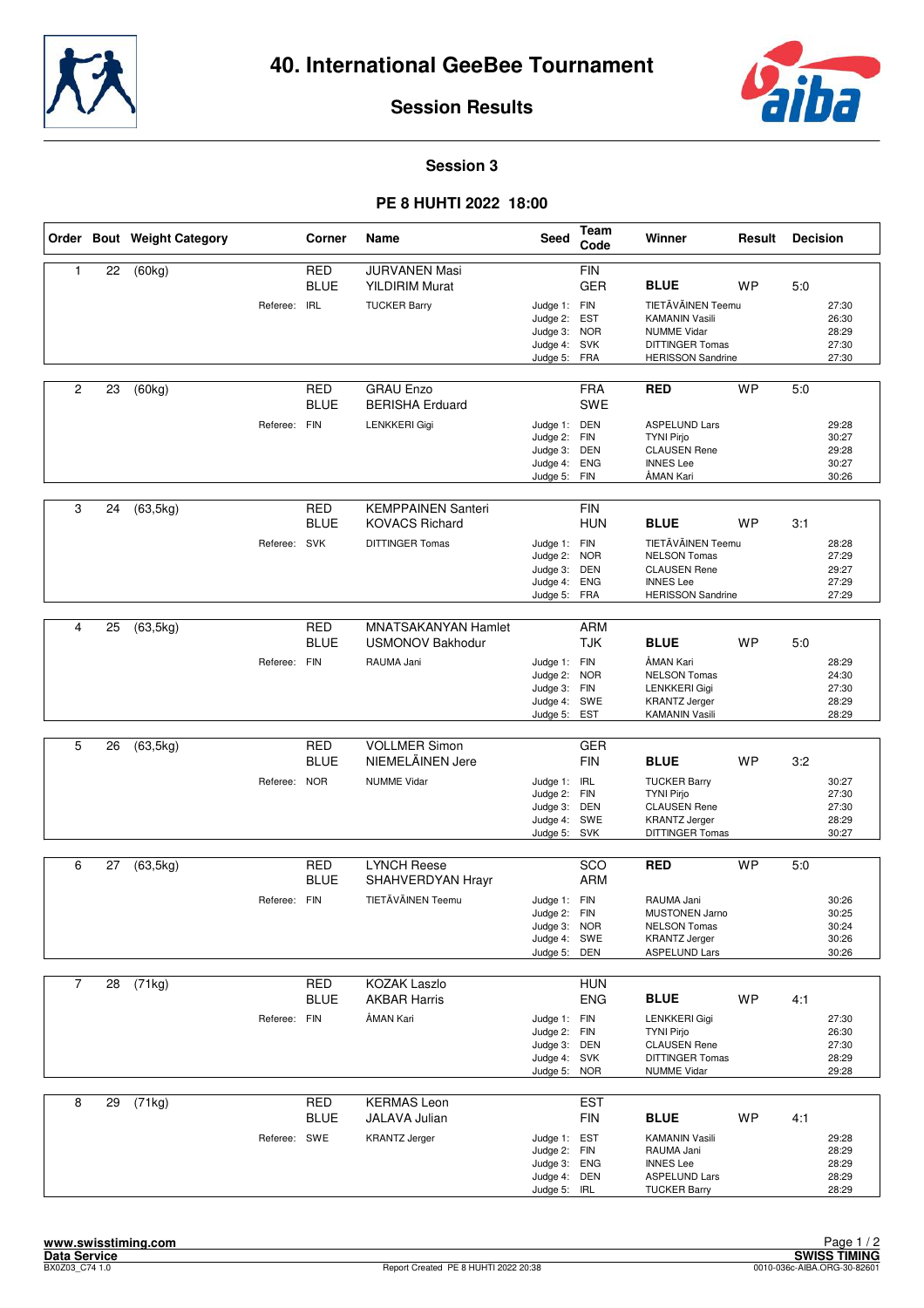



#### **Session 3**

#### **PE 8 HUHTI 2022 18:00**

|                |    | Order Bout Weight Category |              | Corner                    | Name                                                                 | <b>Seed</b>                                                                  | Team<br>Code             | Winner                                                                                                                                | Result    | <b>Decision</b> |                                           |
|----------------|----|----------------------------|--------------|---------------------------|----------------------------------------------------------------------|------------------------------------------------------------------------------|--------------------------|---------------------------------------------------------------------------------------------------------------------------------------|-----------|-----------------|-------------------------------------------|
| 1              | 22 | (60kg)                     | Referee: IRL | <b>RED</b><br><b>BLUE</b> | <b>JURVANEN Masi</b><br><b>YILDIRIM Murat</b><br><b>TUCKER Barry</b> | Judge 1: FIN<br>Judge 2: EST<br>Judge 3: NOR<br>Judge 4: SVK<br>Judge 5: FRA | <b>FIN</b><br><b>GER</b> | <b>BLUE</b><br>TIETÄVÄINEN Teemu<br><b>KAMANIN Vasili</b><br><b>NUMME Vidar</b><br><b>DITTINGER Tomas</b><br><b>HERISSON Sandrine</b> | <b>WP</b> | 5:0             | 27:30<br>26:30<br>28:29<br>27:30<br>27:30 |
| $\overline{c}$ | 23 | (60kg)                     |              | <b>RED</b><br><b>BLUE</b> | <b>GRAU Enzo</b><br><b>BERISHA Erduard</b>                           |                                                                              | <b>FRA</b><br><b>SWE</b> | <b>RED</b>                                                                                                                            | <b>WP</b> | 5:0             |                                           |
|                |    |                            | Referee: FIN |                           | <b>LENKKERI Gigi</b>                                                 | Judge 1: DEN<br>Judge 2: FIN<br>Judge 3: DEN<br>Judge 4: ENG<br>Judge 5: FIN |                          | <b>ASPELUND Lars</b><br><b>TYNI Pirjo</b><br><b>CLAUSEN Rene</b><br><b>INNES Lee</b><br>ÅMAN Kari                                     |           |                 | 29:28<br>30:27<br>29:28<br>30:27<br>30:26 |
| 3              | 24 | (63, 5kg)                  |              | RED<br><b>BLUE</b>        | <b>KEMPPAINEN Santeri</b><br><b>KOVACS Richard</b>                   |                                                                              | <b>FIN</b><br><b>HUN</b> | <b>BLUE</b>                                                                                                                           | <b>WP</b> | 3:1             |                                           |
|                |    |                            | Referee: SVK |                           | <b>DITTINGER Tomas</b>                                               | Judge 1: FIN<br>Judge 2: NOR<br>Judge 3: DEN<br>Judge 4:<br>Judge 5:         | <b>ENG</b><br>FRA        | TIETÄVÄINEN Teemu<br><b>NELSON Tomas</b><br><b>CLAUSEN Rene</b><br><b>INNES Lee</b><br><b>HERISSON Sandrine</b>                       |           |                 | 28:28<br>27:29<br>29:27<br>27:29<br>27:29 |
|                |    |                            |              |                           |                                                                      |                                                                              |                          |                                                                                                                                       |           |                 |                                           |
| 4              | 25 | (63, 5kg)                  |              | <b>RED</b><br><b>BLUE</b> | <b>MNATSAKANYAN Hamlet</b><br><b>USMONOV Bakhodur</b>                |                                                                              | <b>ARM</b><br><b>TJK</b> | <b>BLUE</b>                                                                                                                           | WP        | 5:0             |                                           |
|                |    |                            | Referee: FIN |                           | RAUMA Jani                                                           | Judge 1: FIN<br>Judge 2: NOR<br>Judge 3: FIN<br>Judge 4: SWE<br>Judge 5:     | EST                      | ÅMAN Kari<br><b>NELSON Tomas</b><br>LENKKERI Gigi<br><b>KRANTZ Jerger</b><br><b>KAMANIN Vasili</b>                                    |           |                 | 28:29<br>24:30<br>27:30<br>28:29<br>28:29 |
| 5              | 26 | (63, 5kg)                  |              | <b>RED</b>                | <b>VOLLMER Simon</b>                                                 |                                                                              | <b>GER</b>               |                                                                                                                                       |           |                 |                                           |
|                |    |                            |              | <b>BLUE</b>               | NIEMELÄINEN Jere                                                     |                                                                              | <b>FIN</b>               | <b>BLUE</b>                                                                                                                           | <b>WP</b> | 3:2             |                                           |
|                |    |                            | Referee: NOR |                           | <b>NUMME Vidar</b>                                                   | Judge 1: IRL<br>Judge 2: FIN<br>Judge 3: DEN<br>Judge 4: SWE<br>Judge 5: SVK |                          | <b>TUCKER Barry</b><br><b>TYNI Pirjo</b><br><b>CLAUSEN Rene</b><br><b>KRANTZ Jerger</b><br>DITTINGER Tomas                            |           |                 | 30:27<br>27:30<br>27:30<br>28:29<br>30:27 |
| 6              | 27 | (63, 5kg)                  |              | <b>RED</b>                | <b>LYNCH Reese</b>                                                   |                                                                              | SCO                      | <b>RED</b>                                                                                                                            | <b>WP</b> | 5:0             |                                           |
|                |    |                            |              | <b>BLUE</b>               | SHAHVERDYAN Hrayr                                                    |                                                                              | <b>ARM</b>               |                                                                                                                                       |           |                 |                                           |
|                |    |                            | Referee: FIN |                           | TIETÄVÄINEN Teemu                                                    | Judge 1: FIN<br>Judge 2: FIN<br>Judge 3: NOR<br>Judge 4: SWE<br>Judge 5:     | DEN                      | RAUMA Jani<br>MUSTONEN Jarno<br><b>NELSON Tomas</b><br><b>KRANTZ Jerger</b><br><b>ASPELUND Lars</b>                                   |           |                 | 30:26<br>30:25<br>30:24<br>30:26<br>30:26 |
| $\overline{7}$ | 28 | (71kg)                     |              | RED                       | <b>KOZAK Laszlo</b>                                                  |                                                                              | <b>HUN</b>               |                                                                                                                                       |           |                 |                                           |
|                |    |                            |              | <b>BLUE</b>               | <b>AKBAR Harris</b>                                                  |                                                                              | <b>ENG</b>               | <b>BLUE</b>                                                                                                                           | <b>WP</b> | 4:1             |                                           |
|                |    |                            | Referee: FIN |                           | ÅMAN Kari                                                            | Judge 1: FIN<br>Judge 2: FIN<br>Judge 3: DEN<br>Judge 4: SVK<br>Judge 5: NOR |                          | <b>LENKKERI Gigi</b><br><b>TYNI Pirjo</b><br><b>CLAUSEN Rene</b><br><b>DITTINGER Tomas</b><br><b>NUMME Vidar</b>                      |           |                 | 27:30<br>26:30<br>27:30<br>28:29<br>29:28 |
| 8              | 29 | (71kg)                     |              | <b>RED</b>                | <b>KERMAS Leon</b>                                                   |                                                                              | <b>EST</b>               |                                                                                                                                       |           |                 |                                           |
|                |    |                            | Referee: SWE | <b>BLUE</b>               | JALAVA Julian<br><b>KRANTZ Jerger</b>                                | Judge 1: EST<br>Judge 2: FIN<br>Judge 3: ENG<br>Judge 4: DEN<br>Judge 5: IRL | <b>FIN</b>               | <b>BLUE</b><br><b>KAMANIN Vasili</b><br>RAUMA Jani<br><b>INNES Lee</b><br><b>ASPELUND Lars</b><br><b>TUCKER Barry</b>                 | <b>WP</b> | 4:1             | 29:28<br>28:29<br>28:29<br>28:29<br>28:29 |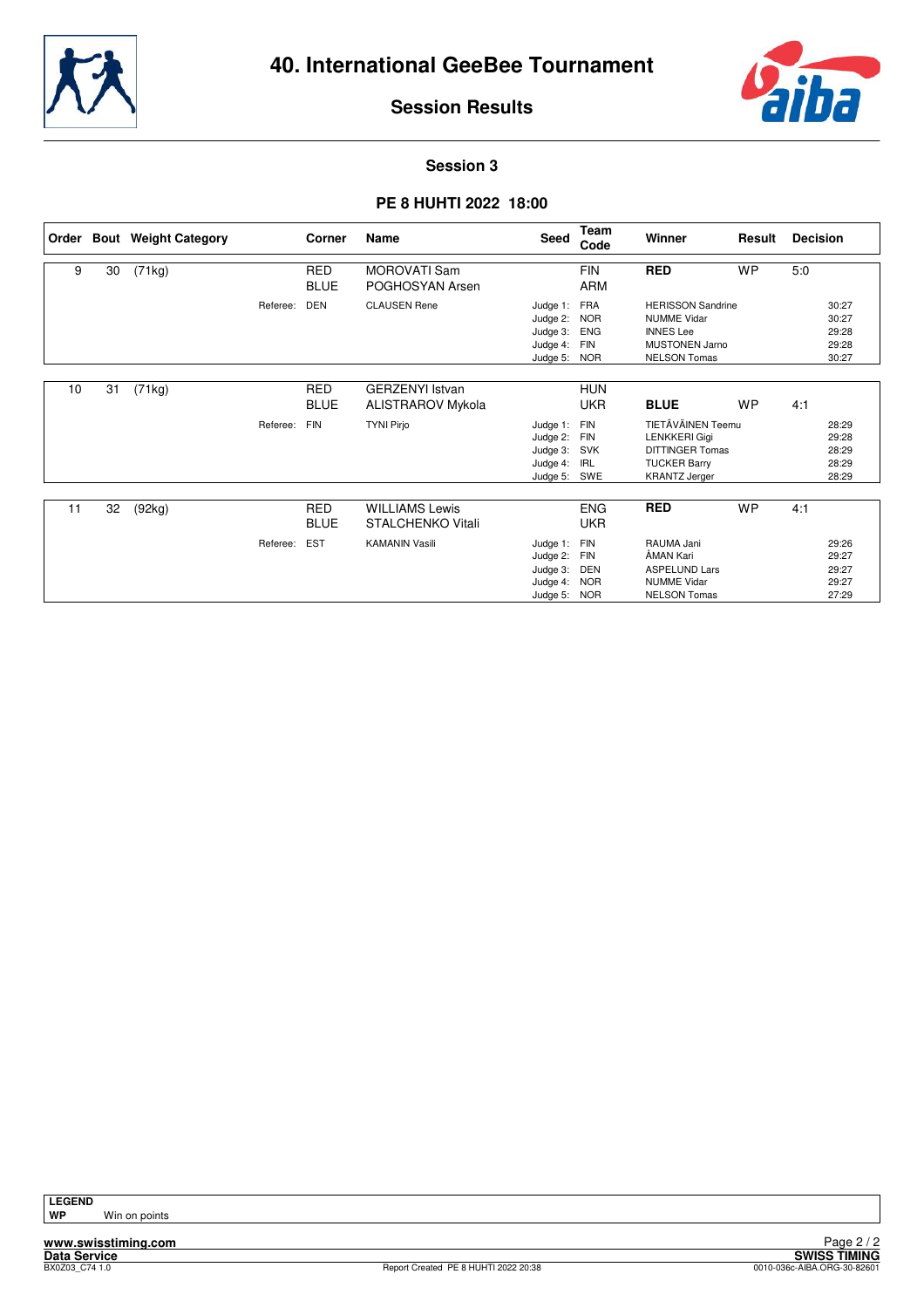



#### **Session 3**

#### **PE 8 HUHTI 2022 18:00**

| Order |    | <b>Bout</b> Weight Category |          | Corner                    | Name                                               | <b>Seed</b>                                                  | Team<br>Code                                                       | Winner                                                                                                             | Result    | <b>Decision</b>                           |
|-------|----|-----------------------------|----------|---------------------------|----------------------------------------------------|--------------------------------------------------------------|--------------------------------------------------------------------|--------------------------------------------------------------------------------------------------------------------|-----------|-------------------------------------------|
| 9     | 30 | (71kg)                      |          | <b>RED</b><br><b>BLUE</b> | <b>MOROVATI Sam</b><br>POGHOSYAN Arsen             |                                                              | <b>FIN</b><br><b>ARM</b>                                           | <b>RED</b>                                                                                                         | <b>WP</b> | 5:0                                       |
|       |    |                             | Referee: | <b>DEN</b>                | <b>CLAUSEN Rene</b>                                | Judge 1:<br>Judge 2:<br>Judge 3:<br>Judge 4:<br>Judge 5:     | <b>FRA</b><br><b>NOR</b><br><b>ENG</b><br><b>FIN</b><br><b>NOR</b> | <b>HERISSON Sandrine</b><br><b>NUMME Vidar</b><br><b>INNES</b> Lee<br><b>MUSTONEN Jarno</b><br><b>NELSON Tomas</b> |           | 30:27<br>30:27<br>29:28<br>29:28<br>30:27 |
| 10    | 31 | (71kg)                      |          | <b>RED</b><br><b>BLUE</b> | <b>GERZENYI Istvan</b><br><b>ALISTRAROV Mykola</b> |                                                              | <b>HUN</b><br><b>UKR</b>                                           | <b>BLUE</b>                                                                                                        | <b>WP</b> | 4:1                                       |
|       |    |                             | Referee: | <b>FIN</b>                | <b>TYNI Pirjo</b>                                  | Judge 1:<br>Judge 2:<br>Judge 3: SVK<br>Judge 4:<br>Judge 5: | <b>FIN</b><br><b>FIN</b><br>IRL<br>SWE                             | TIETÄVÄINEN Teemu<br><b>LENKKERI Gigi</b><br><b>DITTINGER Tomas</b><br><b>TUCKER Barry</b><br><b>KRANTZ Jerger</b> |           | 28:29<br>29:28<br>28:29<br>28:29<br>28:29 |
| 11    | 32 | (92kg)                      |          | <b>RED</b><br><b>BLUE</b> | <b>WILLIAMS Lewis</b><br><b>STALCHENKO Vitali</b>  |                                                              | <b>ENG</b><br><b>UKR</b>                                           | <b>RED</b>                                                                                                         | <b>WP</b> | 4:1                                       |
|       |    |                             | Referee: | <b>EST</b>                | <b>KAMANIN Vasili</b>                              | Judge 1:<br>Judge 2:<br>Judge 3:<br>Judge 4:<br>Judge 5:     | FIN<br><b>FIN</b><br>DEN<br><b>NOR</b><br><b>NOR</b>               | RAUMA Jani<br>ÅMAN Kari<br><b>ASPELUND Lars</b><br><b>NUMME Vidar</b><br><b>NELSON Tomas</b>                       |           | 29:26<br>29:27<br>29:27<br>29:27<br>27:29 |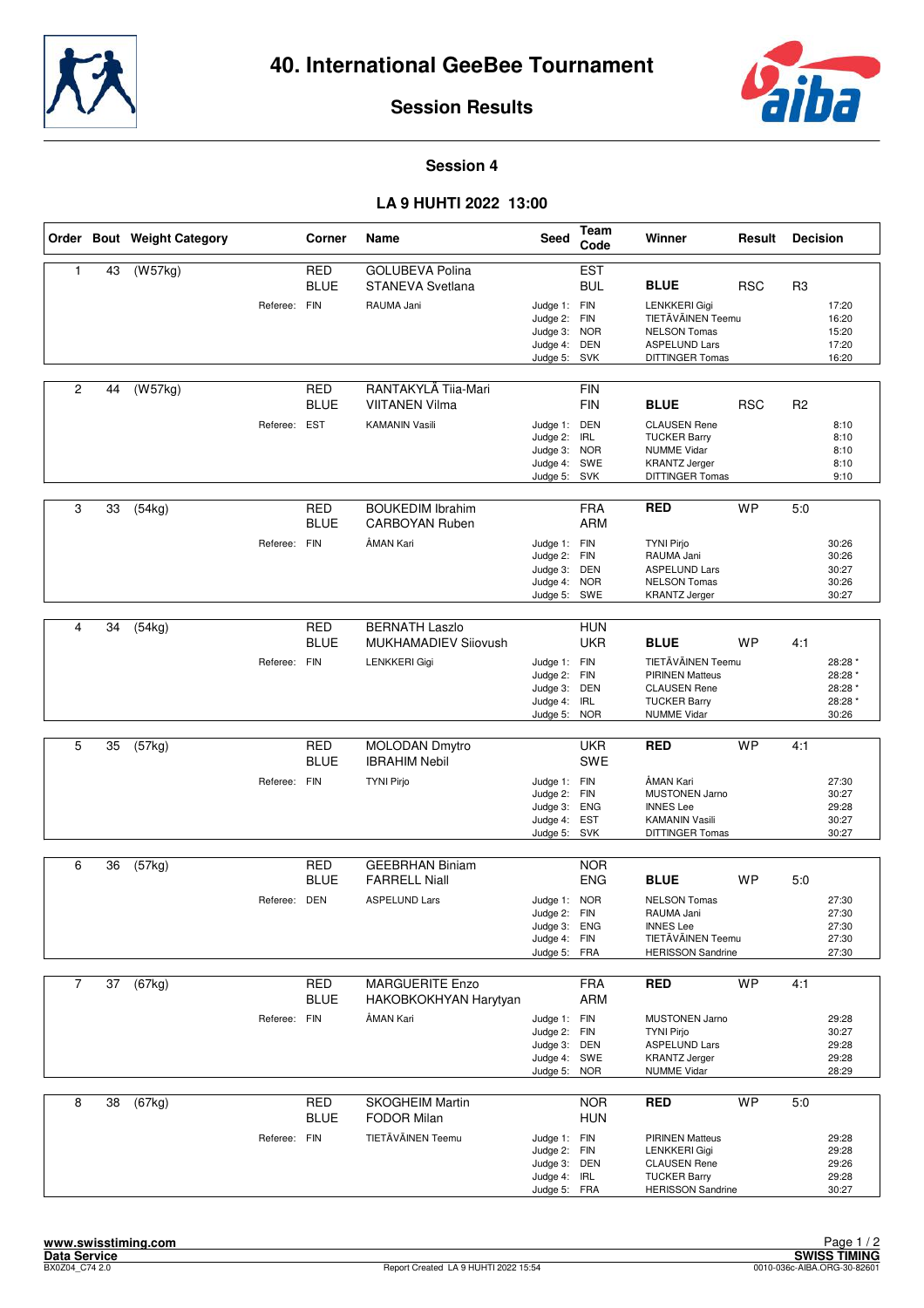



#### **Session 4**

#### **LA 9 HUHTI 2022 13:00**

|                |    | Order Bout Weight Category |              | Corner                    | Name                                                                   | Seed                                                                         | Team<br>Code                           | Winner                                                                                                                            | Result     | <b>Decision</b> |                                                   |
|----------------|----|----------------------------|--------------|---------------------------|------------------------------------------------------------------------|------------------------------------------------------------------------------|----------------------------------------|-----------------------------------------------------------------------------------------------------------------------------------|------------|-----------------|---------------------------------------------------|
| 1              | 43 | (W57kg)                    | Referee: FIN | <b>RED</b><br><b>BLUE</b> | <b>GOLUBEVA Polina</b><br>STANEVA Svetlana<br>RAUMA Jani               | Judge 1: FIN<br>Judge 2: FIN<br>Judge 3: NOR<br>Judge 4: DEN<br>Judge 5:     | <b>EST</b><br><b>BUL</b><br>SVK        | <b>BLUE</b><br><b>LENKKERI Gigi</b><br>TIETÄVÄINEN Teemu<br><b>NELSON Tomas</b><br><b>ASPELUND Lars</b><br><b>DITTINGER Tomas</b> | <b>RSC</b> | R <sub>3</sub>  | 17:20<br>16:20<br>15:20<br>17:20<br>16:20         |
| 2              | 44 | (W57kg)                    | Referee: EST | <b>RED</b><br><b>BLUE</b> | RANTAKYLÄ Tija-Mari<br><b>VIITANEN Vilma</b><br><b>KAMANIN Vasili</b>  | Judge 1: DEN<br>Judge 2: IRL<br>Judge 3:<br>Judge 4: SWE<br>Judge 5: SVK     | <b>FIN</b><br><b>FIN</b><br><b>NOR</b> | <b>BLUE</b><br><b>CLAUSEN Rene</b><br><b>TUCKER Barry</b><br><b>NUMME Vidar</b><br><b>KRANTZ Jerger</b><br><b>DITTINGER Tomas</b> | <b>RSC</b> | R <sub>2</sub>  | 8:10<br>8:10<br>8:10<br>8:10<br>9:10              |
| 3              | 33 | (54kg)                     | Referee: FIN | RED<br><b>BLUE</b>        | <b>BOUKEDIM Ibrahim</b><br><b>CARBOYAN Ruben</b><br>ÅMAN Kari          | Judge 1: FIN<br>Judge 2: FIN<br>Judge 3: DEN<br>Judge 4: NOR<br>Judge 5: SWE | <b>FRA</b><br><b>ARM</b>               | <b>RED</b><br><b>TYNI Pirjo</b><br>RAUMA Jani<br><b>ASPELUND Lars</b><br><b>NELSON Tomas</b><br><b>KRANTZ Jerger</b>              | <b>WP</b>  | 5.0             | 30:26<br>30:26<br>30:27<br>30:26<br>30:27         |
| 4              | 34 | (54kg)                     | Referee: FIN | <b>RED</b><br><b>BLUE</b> | <b>BERNATH Laszlo</b><br><b>MUKHAMADIEV Sijovush</b><br>LENKKERI Gigi  | Judge 1: FIN<br>Judge 2: FIN<br>Judge 3: DEN<br>Judge 4: IRL<br>Judge 5: NOR | <b>HUN</b><br><b>UKR</b>               | <b>BLUE</b><br>TIETÄVÄINEN Teemu<br><b>PIRINEN Matteus</b><br><b>CLAUSEN Rene</b><br><b>TUCKER Barry</b><br><b>NUMME Vidar</b>    | <b>WP</b>  | 4:1             | 28:28 *<br>28:28 *<br>28:28 *<br>28:28 *<br>30:26 |
| 5              | 35 | $\overline{(57kg)}$        | Referee: FIN | <b>RED</b><br><b>BLUE</b> | <b>MOLODAN Dmytro</b><br><b>IBRAHIM Nebil</b><br><b>TYNI Pirjo</b>     | Judge 1: FIN<br>Judge 2: FIN<br>Judge 3: ENG<br>Judge 4: EST<br>Judge 5: SVK | <b>UKR</b><br><b>SWE</b>               | <b>RED</b><br>ÅMAN Kari<br><b>MUSTONEN Jarno</b><br><b>INNES Lee</b><br><b>KAMANIN Vasili</b><br><b>DITTINGER Tomas</b>           | <b>WP</b>  | 4:1             | 27:30<br>30:27<br>29:28<br>30:27<br>30:27         |
| 6              | 36 | (57kg)                     | Referee: DEN | <b>RED</b><br><b>BLUE</b> | <b>GEEBRHAN Biniam</b><br><b>FARRELL Niall</b><br><b>ASPELUND Lars</b> | Judge 1: NOR<br>Judge 2: FIN<br>Judge 3: ENG<br>Judge 4: FIN<br>Judge 5: FRA | <b>NOR</b><br><b>ENG</b>               | <b>BLUE</b><br><b>NELSON Tomas</b><br>RAUMA Jani<br><b>INNES Lee</b><br>TIETÄVÄINEN Teemu<br><b>HERISSON Sandrine</b>             | <b>WP</b>  | 5:0             | 27:30<br>27:30<br>27:30<br>27:30<br>27:30         |
| $\overline{7}$ | 37 | (67kg)                     | Referee: FIN | RED<br><b>BLUE</b>        | <b>MARGUERITE Enzo</b><br>HAKOBKOKHYAN Harytyan<br>ÅMAN Kari           | Judge 1: FIN<br>Judge 2: FIN<br>Judge 3: DEN<br>Judge 4: SWE<br>Judge 5: NOR | <b>FRA</b><br><b>ARM</b>               | <b>RED</b><br><b>MUSTONEN Jarno</b><br><b>TYNI Pirjo</b><br><b>ASPELUND Lars</b><br><b>KRANTZ Jerger</b><br><b>NUMME Vidar</b>    | <b>WP</b>  | 4:1             | 29:28<br>30:27<br>29:28<br>29:28<br>28:29         |
| 8              | 38 | (67kg)                     | Referee: FIN | <b>RED</b><br><b>BLUE</b> | <b>SKOGHEIM Martin</b><br><b>FODOR Milan</b><br>TIETÄVÄINEN Teemu      | Judge 1: FIN<br>Judge 2: FIN<br>Judge 3: DEN<br>Judge 4: IRL<br>Judge 5: FRA | <b>NOR</b><br><b>HUN</b>               | <b>RED</b><br><b>PIRINEN Matteus</b><br>LENKKERI Gigi<br><b>CLAUSEN Rene</b><br><b>TUCKER Barry</b><br><b>HERISSON Sandrine</b>   | <b>WP</b>  | 5:0             | 29:28<br>29:28<br>29:26<br>29:28<br>30:27         |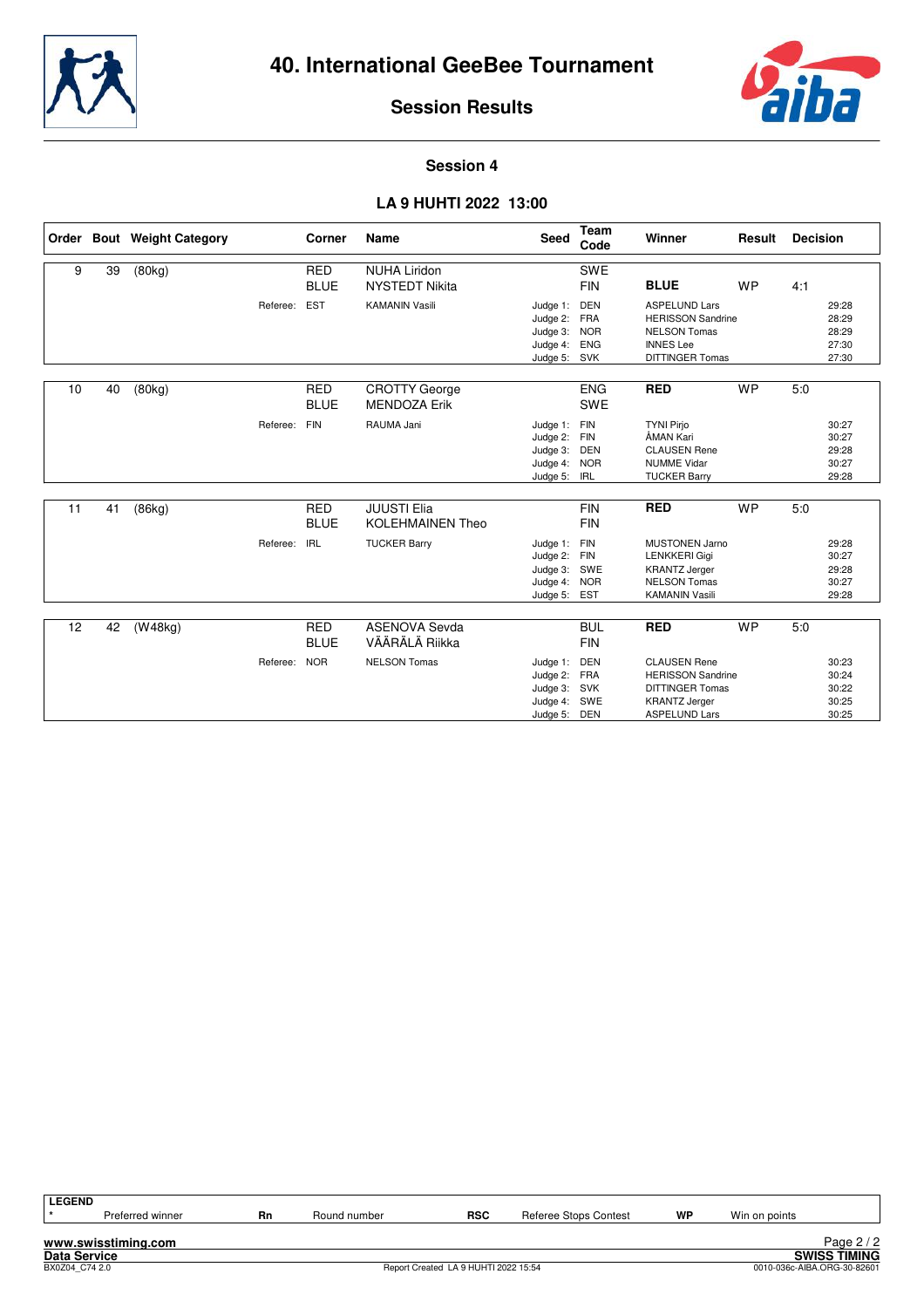



#### **Session 4**

#### **LA 9 HUHTI 2022 13:00**

|    |    | Order Bout Weight Category |              | Corner                    | Name                                          | Seed                                                                     | Team<br>Code                                  | Winner                                                                                                                    | Result    | <b>Decision</b> |                                           |
|----|----|----------------------------|--------------|---------------------------|-----------------------------------------------|--------------------------------------------------------------------------|-----------------------------------------------|---------------------------------------------------------------------------------------------------------------------------|-----------|-----------------|-------------------------------------------|
| 9  | 39 | (80kg)                     |              | <b>RED</b><br><b>BLUE</b> | <b>NUHA Liridon</b><br><b>NYSTEDT Nikita</b>  |                                                                          | <b>SWE</b><br><b>FIN</b>                      | <b>BLUE</b>                                                                                                               | <b>WP</b> | 4:1             |                                           |
|    |    |                            | Referee:     | <b>EST</b>                | <b>KAMANIN Vasili</b>                         | Judge 1:<br>Judge 2: FRA<br>Judge 3: NOR<br>Judge 4:<br>Judge 5: SVK     | <b>DEN</b><br><b>ENG</b>                      | <b>ASPELUND Lars</b><br><b>HERISSON Sandrine</b><br><b>NELSON Tomas</b><br><b>INNES</b> Lee<br><b>DITTINGER Tomas</b>     |           |                 | 29:28<br>28:29<br>28:29<br>27:30<br>27:30 |
| 10 | 40 | (80kg)                     |              | <b>RED</b><br><b>BLUE</b> | <b>CROTTY George</b><br><b>MENDOZA Erik</b>   |                                                                          | <b>ENG</b><br><b>SWE</b>                      | <b>RED</b>                                                                                                                | <b>WP</b> | 5:0             |                                           |
|    |    |                            | Referee:     | <b>FIN</b>                | RAUMA Jani                                    | Judge 1:<br>Judge 2:<br>Judge 3:<br>Judge 4: NOR<br>Judge 5: IRL         | FIN<br><b>FIN</b><br>DEN                      | <b>TYNI Pirjo</b><br>ÅMAN Kari<br><b>CLAUSEN Rene</b><br><b>NUMME Vidar</b><br><b>TUCKER Barry</b>                        |           |                 | 30:27<br>30:27<br>29:28<br>30:27<br>29:28 |
| 11 | 41 | (86kg)                     |              | <b>RED</b><br><b>BLUE</b> | <b>JUUSTI Elia</b><br><b>KOLEHMAINEN Theo</b> |                                                                          | <b>FIN</b><br><b>FIN</b>                      | <b>RED</b>                                                                                                                | <b>WP</b> | 5.0             |                                           |
|    |    |                            | Referee:     | <b>IRL</b>                | <b>TUCKER Barry</b>                           | Judge 1:<br>Judge 2: FIN<br>Judge 3: SWE<br>Judge 4: NOR<br>Judge 5: EST | FIN                                           | <b>MUSTONEN Jarno</b><br><b>LENKKERI Gigi</b><br><b>KRANTZ Jerger</b><br><b>NELSON Tomas</b><br><b>KAMANIN Vasili</b>     |           |                 | 29:28<br>30:27<br>29:28<br>30:27<br>29:28 |
| 12 | 42 | (W48kg)                    |              | <b>RED</b>                | <b>ASENOVA Sevda</b>                          |                                                                          | <b>BUL</b>                                    | <b>RED</b>                                                                                                                | <b>WP</b> | 5:0             |                                           |
|    |    |                            |              | <b>BLUE</b>               | VÄÄRÄLÄ Riikka                                |                                                                          | <b>FIN</b>                                    |                                                                                                                           |           |                 |                                           |
|    |    |                            | Referee: NOR |                           | <b>NELSON Tomas</b>                           | Judge 1:<br>Judge 2:<br>Judge 3:<br>Judge 4:<br>Judge 5:                 | DEN<br><b>FRA</b><br>SVK<br>SWE<br><b>DEN</b> | <b>CLAUSEN Rene</b><br><b>HERISSON Sandrine</b><br><b>DITTINGER Tomas</b><br><b>KRANTZ Jerger</b><br><b>ASPELUND Lars</b> |           |                 | 30:23<br>30:24<br>30:22<br>30:25<br>30:25 |

| <b>LEGEND</b>       |                     |    |              |                                      |                       |    |               |                             |
|---------------------|---------------------|----|--------------|--------------------------------------|-----------------------|----|---------------|-----------------------------|
|                     | Preferred winner    | Rn | Round number | <b>RSC</b>                           | Referee Stops Contest | WP | Win on points |                             |
|                     |                     |    |              |                                      |                       |    |               |                             |
|                     | www.swisstiming.com |    |              |                                      |                       |    |               | Page $2/2$                  |
| <b>Data Service</b> |                     |    |              |                                      |                       |    |               | <b>SWISS TIMING</b>         |
| BX0Z04 C74 2.0      |                     |    |              | Report Created LA 9 HUHTI 2022 15:54 |                       |    |               | 0010-036c-AIBA.ORG-30-82601 |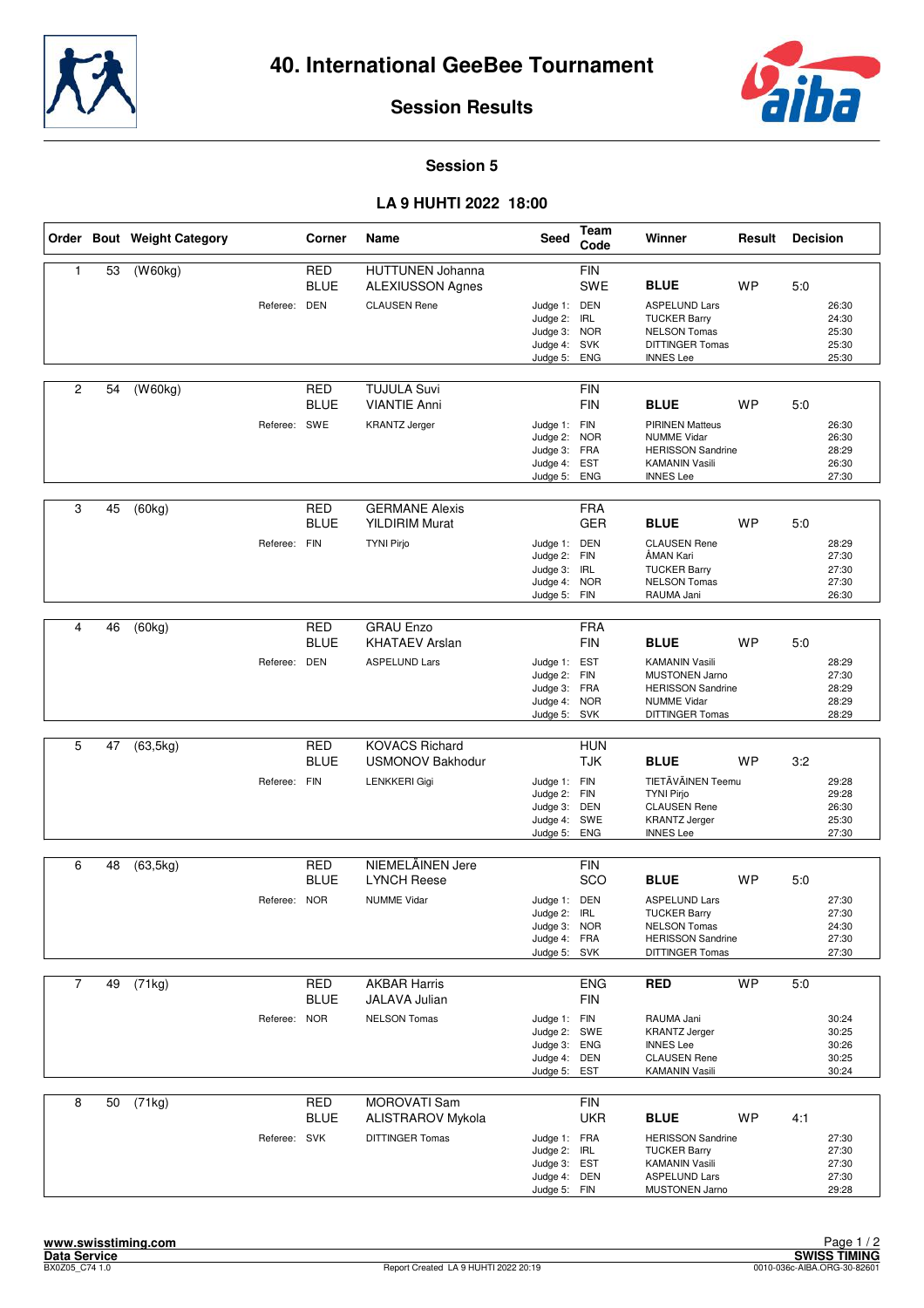



#### **Session 5**

#### **LA 9 HUHTI 2022 18:00**

|                |    | Order Bout Weight Category |              | Corner                    | Name                                                               | Seed                                                                         | Team<br>Code             | Winner                                                                                                                            | Result    | <b>Decision</b> |                                           |
|----------------|----|----------------------------|--------------|---------------------------|--------------------------------------------------------------------|------------------------------------------------------------------------------|--------------------------|-----------------------------------------------------------------------------------------------------------------------------------|-----------|-----------------|-------------------------------------------|
| 1              | 53 | (W60kg)                    | Referee: DEN | <b>RED</b><br><b>BLUE</b> | <b>HUTTUNEN Johanna</b><br>ALEXIUSSON Agnes<br><b>CLAUSEN Rene</b> | Judge 1: DEN<br>Judge 2: IRL<br>Judge 3: NOR                                 | <b>FIN</b><br>SWE        | <b>BLUE</b><br><b>ASPELUND Lars</b><br><b>TUCKER Barry</b><br><b>NELSON Tomas</b>                                                 | <b>WP</b> | 5:0             | 26:30<br>24:30<br>25:30                   |
|                |    |                            |              |                           |                                                                    | Judge 4: SVK<br>Judge 5:                                                     | <b>ENG</b>               | <b>DITTINGER Tomas</b><br><b>INNES Lee</b>                                                                                        |           |                 | 25:30<br>25:30                            |
| $\overline{2}$ | 54 | $\overline{(W60kg)}$       |              | <b>RED</b><br><b>BLUE</b> | <b>TUJULA Suvi</b><br><b>VIANTIE Anni</b>                          |                                                                              | <b>FIN</b><br><b>FIN</b> | <b>BLUE</b>                                                                                                                       | <b>WP</b> | 5:0             |                                           |
|                |    |                            | Referee: SWE |                           | <b>KRANTZ Jerger</b>                                               | Judge 1: FIN<br>Judge 2: NOR<br>Judge 3: FRA<br>Judge 4: EST<br>Judge 5: ENG |                          | <b>PIRINEN Matteus</b><br><b>NUMME Vidar</b><br><b>HERISSON Sandrine</b><br><b>KAMANIN Vasili</b><br><b>INNES Lee</b>             |           |                 | 26:30<br>26:30<br>28:29<br>26:30<br>27:30 |
| 3              | 45 | (60kg)                     |              | RED<br><b>BLUE</b>        | <b>GERMANE Alexis</b><br><b>YILDIRIM Murat</b>                     |                                                                              | <b>FRA</b><br><b>GER</b> | <b>BLUE</b>                                                                                                                       | <b>WP</b> | 5:0             |                                           |
|                |    |                            | Referee: FIN |                           | <b>TYNI Pirjo</b>                                                  | Judge 1: DEN<br>Judge 2: FIN<br>Judge 3: IRL<br>Judge 4: NOR<br>Judge 5: FIN |                          | <b>CLAUSEN Rene</b><br>ÅMAN Kari<br><b>TUCKER Barry</b><br><b>NELSON Tomas</b><br>RAUMA Jani                                      |           |                 | 28:29<br>27:30<br>27:30<br>27:30<br>26:30 |
| 4              | 46 | (60kg)                     |              | <b>RED</b>                | <b>GRAU Enzo</b>                                                   |                                                                              | <b>FRA</b>               |                                                                                                                                   |           |                 |                                           |
|                |    |                            | Referee: DEN | <b>BLUE</b>               | <b>KHATAEV Arslan</b><br><b>ASPELUND Lars</b>                      | Judge 1: EST                                                                 | <b>FIN</b>               | <b>BLUE</b><br><b>KAMANIN Vasili</b>                                                                                              | <b>WP</b> | 5:0             | 28:29                                     |
|                |    |                            |              |                           |                                                                    | Judge 2: FIN<br>Judge 3: FRA<br>Judge 4: NOR<br>Judge 5: SVK                 |                          | <b>MUSTONEN Jarno</b><br><b>HERISSON Sandrine</b><br><b>NUMME Vidar</b><br><b>DITTINGER Tomas</b>                                 |           |                 | 27:30<br>28:29<br>28:29<br>28:29          |
| 5              | 47 | (63, 5kg)                  |              | <b>RED</b><br><b>BLUE</b> | <b>KOVACS Richard</b><br><b>USMONOV Bakhodur</b>                   |                                                                              | <b>HUN</b><br><b>TJK</b> | <b>BLUE</b>                                                                                                                       | <b>WP</b> | 3:2             |                                           |
|                |    |                            | Referee: FIN |                           | LENKKERI Gigi                                                      | Judge 1: FIN<br>Judge 2: FIN<br>Judge 3: DEN<br>Judge 4: SWE<br>Judge 5:     | ENG                      | TIETÄVÄINEN Teemu<br><b>TYNI Pirjo</b><br><b>CLAUSEN Rene</b><br><b>KRANTZ Jerger</b><br><b>INNES Lee</b>                         |           |                 | 29:28<br>29:28<br>26:30<br>25:30<br>27:30 |
| 6              | 48 | (63, 5kg)                  |              | RED                       | NIEMELÄINEN Jere                                                   |                                                                              | FIN                      |                                                                                                                                   |           |                 |                                           |
|                |    |                            | Referee: NOR | <b>BLUE</b>               | <b>LYNCH Reese</b><br><b>NUMME Vidar</b>                           | Judge 1: DEN                                                                 | SCO                      | <b>BLUE</b><br><b>ASPELUND Lars</b>                                                                                               | <b>WP</b> | 5:0             | 27:30                                     |
|                |    |                            |              |                           |                                                                    | Judge 2:<br>Judge 3: NOR<br>Judge 4: FRA<br>Judge 5: SVK                     | <b>IRL</b>               | <b>TUCKER Barry</b><br><b>NELSON Tomas</b><br><b>HERISSON Sandrine</b><br><b>DITTINGER Tomas</b>                                  |           |                 | 27:30<br>24:30<br>27:30<br>27:30          |
| $\overline{7}$ | 49 | (71kg)                     |              | <b>RED</b>                | <b>AKBAR Harris</b>                                                |                                                                              | <b>ENG</b>               | <b>RED</b>                                                                                                                        | <b>WP</b> | 5:0             |                                           |
|                |    |                            |              | <b>BLUE</b>               | JALAVA Julian                                                      |                                                                              | <b>FIN</b>               |                                                                                                                                   |           |                 |                                           |
|                |    |                            | Referee: NOR |                           | <b>NELSON Tomas</b>                                                | Judge 1: FIN<br>Judge 2: SWE<br>Judge 3: ENG<br>Judge 4: DEN<br>Judge 5: EST |                          | RAUMA Jani<br><b>KRANTZ Jerger</b><br><b>INNES Lee</b><br><b>CLAUSEN Rene</b><br><b>KAMANIN Vasili</b>                            |           |                 | 30:24<br>30:25<br>30:26<br>30:25<br>30:24 |
| 8              | 50 | (71kg)                     |              | <b>RED</b>                | MOROVATI Sam                                                       |                                                                              | <b>FIN</b>               |                                                                                                                                   | <b>WP</b> |                 |                                           |
|                |    |                            | Referee: SVK | <b>BLUE</b>               | <b>ALISTRAROV Mykola</b><br>DITTINGER Tomas                        | Judge 1: FRA<br>Judge 2: IRL<br>Judge 3: EST<br>Judge 4: DEN<br>Judge 5: FIN | <b>UKR</b>               | <b>BLUE</b><br><b>HERISSON Sandrine</b><br><b>TUCKER Barry</b><br><b>KAMANIN Vasili</b><br><b>ASPELUND Lars</b><br>MUSTONEN Jarno |           | 4:1             | 27:30<br>27:30<br>27:30<br>27:30<br>29:28 |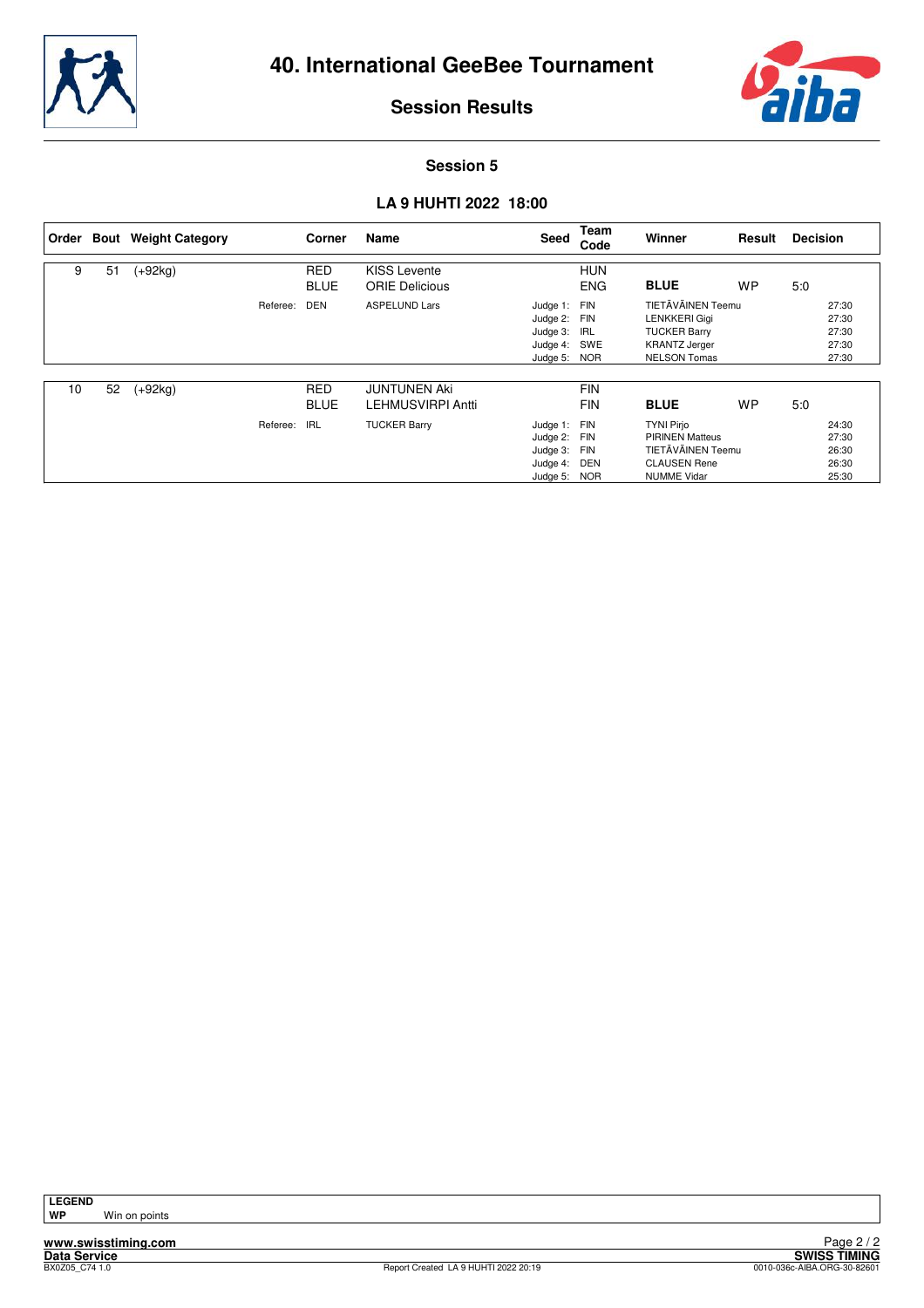



#### **Session 5**

#### **LA 9 HUHTI 2022 18:00**

| Order |    | <b>Bout</b> Weight Category |          | Corner                    | Name                                         | Seed                                                         | Team<br>Code                    | Winner                                                                                                          | Result    | <b>Decision</b> |                                           |
|-------|----|-----------------------------|----------|---------------------------|----------------------------------------------|--------------------------------------------------------------|---------------------------------|-----------------------------------------------------------------------------------------------------------------|-----------|-----------------|-------------------------------------------|
| 9     | 51 | $(+92kg)$                   |          | <b>RED</b><br><b>BLUE</b> | <b>KISS Levente</b><br><b>ORIE Delicious</b> |                                                              | <b>HUN</b><br><b>ENG</b>        | <b>BLUE</b>                                                                                                     | <b>WP</b> | 5:0             |                                           |
|       |    |                             | Referee: | DEN                       | <b>ASPELUND Lars</b>                         | Judge 1: FIN<br>Judge 2:<br>Judge 3:<br>Judge 4:<br>Judge 5: | FIN<br>IRL<br>SWE<br><b>NOR</b> | TIETÄVÄINEN Teemu<br><b>LENKKERI Gigi</b><br><b>TUCKER Barry</b><br><b>KRANTZ Jerger</b><br><b>NELSON Tomas</b> |           |                 | 27:30<br>27:30<br>27:30<br>27:30<br>27:30 |
| 10    | 52 | $(+92kg)$                   |          | <b>RED</b><br><b>BLUE</b> | <b>JUNTUNEN Aki</b><br>LEHMUSVIRPI Antti     |                                                              | <b>FIN</b><br><b>FIN</b>        | <b>BLUE</b>                                                                                                     | <b>WP</b> | 5:0             |                                           |
|       |    |                             | Referee: | <b>IRL</b>                | <b>TUCKER Barry</b>                          | Judge 1: FIN<br>Judge 2:<br>Judge 3:<br>Judge 4:<br>Judge 5: | FIN<br>FIN<br>DEN<br><b>NOR</b> | <b>TYNI Pirjo</b><br><b>PIRINEN Matteus</b><br>TIETÄVÄINEN Teemu<br><b>CLAUSEN Rene</b><br><b>NUMME Vidar</b>   |           |                 | 24:30<br>27:30<br>26:30<br>26:30<br>25:30 |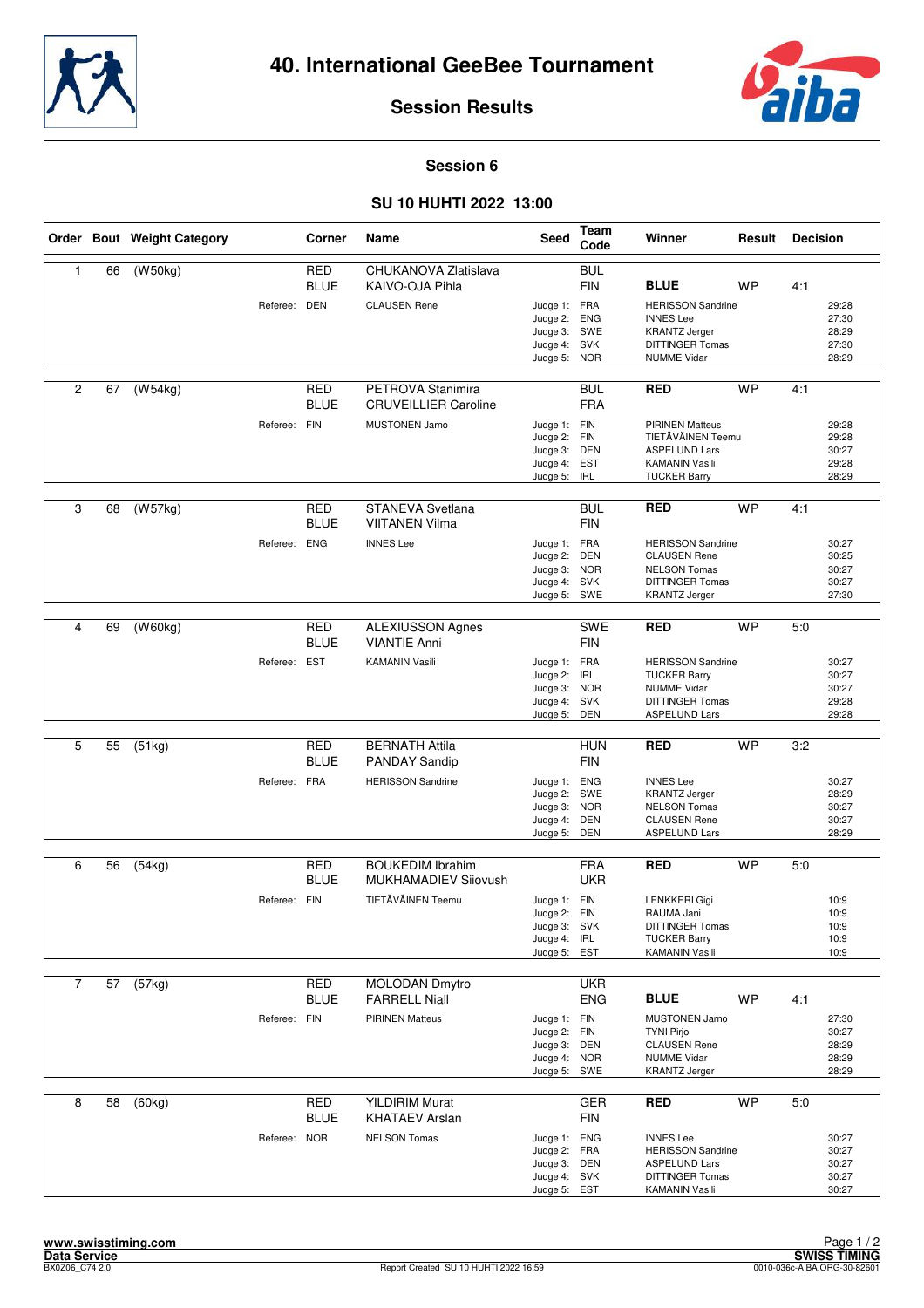



#### **Session 6**

#### **SU 10 HUHTI 2022 13:00**

|                |    | Order Bout Weight Category |              | Corner                    | Name                                                                      | Seed                                                                         | Team<br>Code                                         | Winner                                                                                                                                 | Result    | <b>Decision</b> |                                           |
|----------------|----|----------------------------|--------------|---------------------------|---------------------------------------------------------------------------|------------------------------------------------------------------------------|------------------------------------------------------|----------------------------------------------------------------------------------------------------------------------------------------|-----------|-----------------|-------------------------------------------|
| $\mathbf{1}$   | 66 | (W50kg)                    | Referee: DEN | <b>RED</b><br><b>BLUE</b> | CHUKANOVA Zlatislava<br>KAIVO-OJA Pihla<br><b>CLAUSEN Rene</b>            | Judge 1: FRA<br>Judge 2:<br>Judge 3:<br>Judge 4: SVK<br>Judge 5: NOR         | <b>BUL</b><br><b>FIN</b><br><b>ENG</b><br>SWE        | <b>BLUE</b><br><b>HERISSON Sandrine</b><br><b>INNES Lee</b><br><b>KRANTZ Jerger</b><br><b>DITTINGER Tomas</b><br><b>NUMME Vidar</b>    | <b>WP</b> | 4:1             | 29:28<br>27:30<br>28:29<br>27:30<br>28:29 |
| 2              | 67 | (W54kg)                    | Referee: FIN | <b>RED</b><br><b>BLUE</b> | PETROVA Stanimira<br><b>CRUVEILLIER Caroline</b><br><b>MUSTONEN Jarno</b> | Judge 1: FIN<br>Judge 2: FIN<br>Judge 3: DEN<br>Judge 4: EST<br>Judge 5:     | <b>BUL</b><br><b>FRA</b><br><b>IRL</b>               | <b>RED</b><br><b>PIRINEN Matteus</b><br>TIETÄVÄINEN Teemu<br><b>ASPELUND Lars</b><br><b>KAMANIN Vasili</b><br><b>TUCKER Barry</b>      | <b>WP</b> | 4:1             | 29:28<br>29:28<br>30:27<br>29:28<br>28:29 |
| 3              | 68 | (W57kg)                    | Referee: ENG | RED<br>BLUE               | STANEVA Svetlana<br><b>VIITANEN Vilma</b><br><b>INNES Lee</b>             | Judge 1: FRA<br>Judge 2:<br>Judge 3: NOR<br>Judge 4: SVK<br>Judge 5: SWE     | <b>BUL</b><br><b>FIN</b><br><b>DEN</b>               | <b>RED</b><br><b>HERISSON Sandrine</b><br><b>CLAUSEN Rene</b><br><b>NELSON Tomas</b><br><b>DITTINGER Tomas</b><br><b>KRANTZ Jerger</b> | <b>WP</b> | 4:1             | 30:27<br>30:25<br>30:27<br>30:27<br>27:30 |
| 4              | 69 | (W60kg)                    | Referee: EST | <b>RED</b><br><b>BLUE</b> | <b>ALEXIUSSON Agnes</b><br><b>VIANTIE Anni</b><br><b>KAMANIN Vasili</b>   | Judge 1: FRA<br>Judge 2:<br>Judge 3: NOR<br>Judge 4:<br>Judge 5:             | SWE<br><b>FIN</b><br><b>IRL</b><br><b>SVK</b><br>DEN | <b>RED</b><br><b>HERISSON Sandrine</b><br><b>TUCKER Barry</b><br><b>NUMME Vidar</b><br><b>DITTINGER Tomas</b><br><b>ASPELUND Lars</b>  | <b>WP</b> | 5:0             | 30:27<br>30:27<br>30:27<br>29:28<br>29:28 |
| 5              | 55 | (51kg)                     | Referee: FRA | <b>RED</b><br>BLUE        | <b>BERNATH Attila</b><br><b>PANDAY Sandip</b><br><b>HERISSON Sandrine</b> | Judge 1: ENG<br>Judge 2: SWE<br>Judge 3: NOR<br>Judge 4: DEN<br>Judge 5:     | <b>HUN</b><br><b>FIN</b><br>DEN                      | <b>RED</b><br><b>INNES Lee</b><br><b>KRANTZ Jerger</b><br><b>NELSON Tomas</b><br><b>CLAUSEN Rene</b><br><b>ASPELUND Lars</b>           | <b>WP</b> | 3:2             | 30:27<br>28:29<br>30:27<br>30:27<br>28:29 |
| 6              | 56 | (54kg)                     | Referee: FIN | <b>RED</b><br><b>BLUE</b> | <b>BOUKEDIM Ibrahim</b><br>MUKHAMADIEV Sijovush<br>TIETÄVÄINEN Teemu      | Judge 1: FIN<br>Judge 2: FIN<br>Judge 3: SVK<br>Judge 4: IRL<br>Judge 5:     | <b>FRA</b><br><b>UKR</b><br>EST                      | <b>RED</b><br><b>LENKKERI Gigi</b><br>RAUMA Jani<br>DITTINGER Tomas<br><b>TUCKER Barry</b><br><b>KAMANIN Vasili</b>                    | <b>WP</b> | 5:0             | 10:9<br>10:9<br>10:9<br>10:9<br>10:9      |
| $\overline{7}$ | 57 | (57kg)                     | Referee: FIN | RED<br><b>BLUE</b>        | <b>MOLODAN Dmytro</b><br><b>FARRELL Niall</b><br><b>PIRINEN Matteus</b>   | Judge 1: FIN<br>Judge 2: FIN<br>Judge 3: DEN<br>Judge 4: NOR<br>Judge 5: SWE | <b>UKR</b><br><b>ENG</b>                             | <b>BLUE</b><br><b>MUSTONEN Jarno</b><br><b>TYNI Pirjo</b><br><b>CLAUSEN Rene</b><br><b>NUMME Vidar</b><br><b>KRANTZ Jerger</b>         | <b>WP</b> | 4:1             | 27:30<br>30:27<br>28:29<br>28:29<br>28:29 |
| 8              | 58 | (60kg)                     | Referee: NOR | RED<br><b>BLUE</b>        | <b>YILDIRIM Murat</b><br><b>KHATAEV Arslan</b><br><b>NELSON Tomas</b>     | Judge 1: ENG<br>Judge 2: FRA<br>Judge 3: DEN<br>Judge 4: SVK<br>Judge 5: EST | <b>GER</b><br>FIN                                    | <b>RED</b><br><b>INNES Lee</b><br><b>HERISSON Sandrine</b><br><b>ASPELUND Lars</b><br>DITTINGER Tomas<br><b>KAMANIN Vasili</b>         | <b>WP</b> | 5:0             | 30:27<br>30:27<br>30:27<br>30:27<br>30:27 |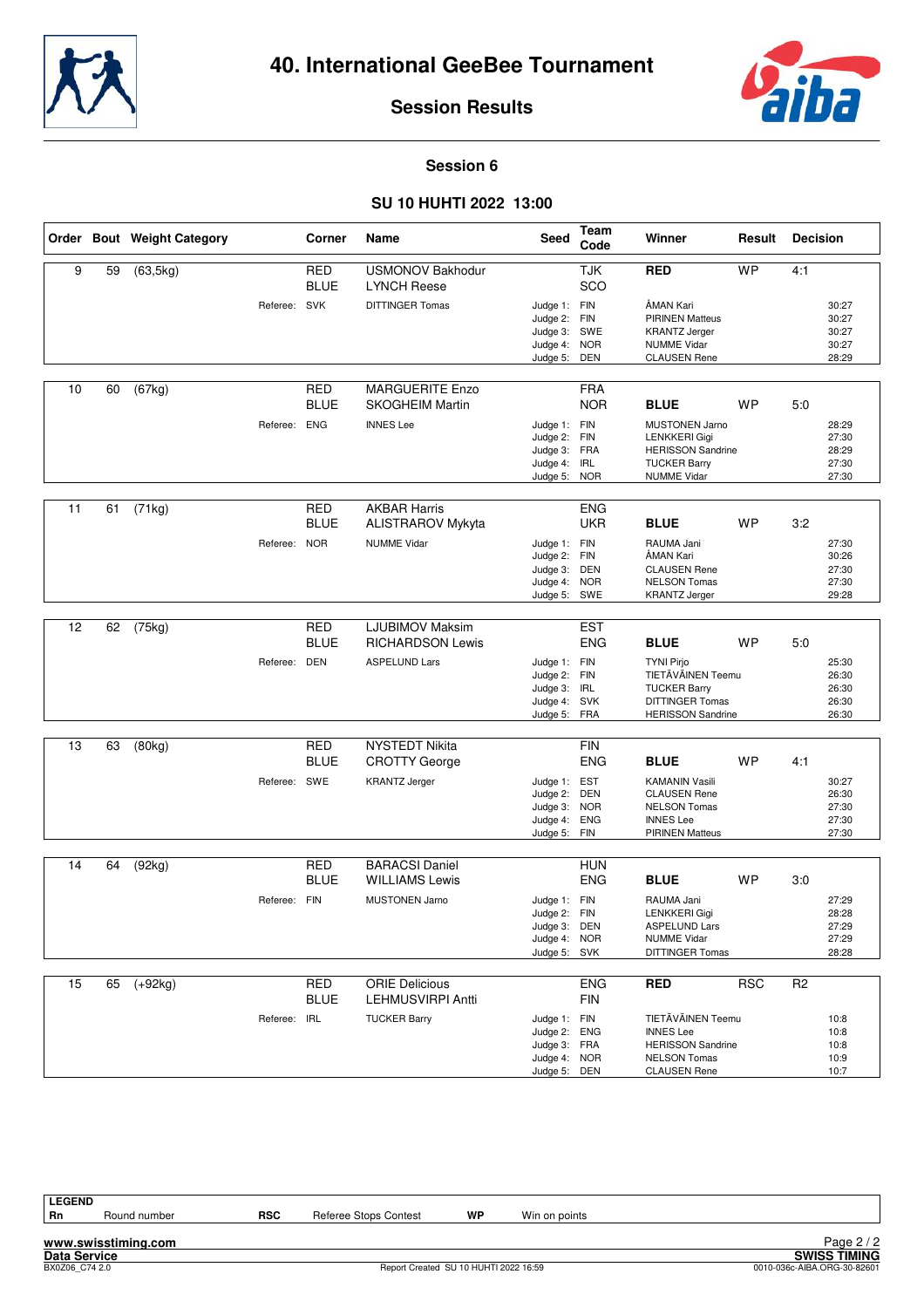



#### **Session 6**

#### **SU 10 HUHTI 2022 13:00**

|    |    | Order Bout Weight Category |              | Corner                    | Name                                              | <b>Seed</b>                                                                  | Team<br>Code             | Winner                                                                                                                             | Result     | <b>Decision</b>                                  |  |
|----|----|----------------------------|--------------|---------------------------|---------------------------------------------------|------------------------------------------------------------------------------|--------------------------|------------------------------------------------------------------------------------------------------------------------------------|------------|--------------------------------------------------|--|
| 9  | 59 | (63, 5kg)                  |              | <b>RED</b><br><b>BLUE</b> | <b>USMONOV Bakhodur</b><br><b>LYNCH Reese</b>     |                                                                              | <b>TJK</b><br>SCO        | <b>RED</b>                                                                                                                         | <b>WP</b>  | 4:1                                              |  |
|    |    |                            | Referee: SVK |                           | <b>DITTINGER Tomas</b>                            | Judge 1: FIN<br>Judge 2: FIN<br>Judge 3: SWE<br>Judge 4: NOR<br>Judge 5: DEN |                          | ÅMAN Kari<br><b>PIRINEN Matteus</b><br><b>KRANTZ Jerger</b><br><b>NUMME Vidar</b><br><b>CLAUSEN Rene</b>                           |            | 30:27<br>30:27<br>30:27<br>30:27<br>28:29        |  |
| 10 | 60 | (67kg)                     |              | <b>RED</b><br><b>BLUE</b> | <b>MARGUERITE Enzo</b><br><b>SKOGHEIM Martin</b>  |                                                                              | <b>FRA</b><br><b>NOR</b> | <b>BLUE</b>                                                                                                                        | <b>WP</b>  | 5:0                                              |  |
|    |    |                            | Referee: ENG |                           | <b>INNES Lee</b>                                  | Judge 1: FIN<br>Judge 2: FIN<br>Judge 3: FRA<br>Judge 4:<br>Judge 5: NOR     | IRL                      | <b>MUSTONEN Jarno</b><br><b>LENKKERI Gigi</b><br><b>HERISSON Sandrine</b><br><b>TUCKER Barry</b><br><b>NUMME Vidar</b>             |            | 28:29<br>27:30<br>28:29<br>27:30<br>27:30        |  |
| 11 | 61 | (71kg)                     |              | <b>RED</b><br><b>BLUE</b> | <b>AKBAR Harris</b><br>ALISTRAROV Mykyta          |                                                                              | <b>ENG</b><br><b>UKR</b> | <b>BLUE</b>                                                                                                                        | <b>WP</b>  | 3:2                                              |  |
|    |    |                            | Referee: NOR |                           | <b>NUMME Vidar</b>                                | Judge 1: FIN<br>Judge 2: FIN<br>Judge 3: DEN<br>Judge 4: NOR<br>Judge 5: SWE |                          | RAUMA Jani<br>ÅMAN Kari<br><b>CLAUSEN Rene</b><br><b>NELSON Tomas</b><br><b>KRANTZ Jerger</b>                                      |            | 27:30<br>30:26<br>27:30<br>27:30<br>29:28        |  |
| 12 | 62 | (75kg)                     |              | <b>RED</b>                | <b>LJUBIMOV Maksim</b>                            |                                                                              | <b>EST</b>               |                                                                                                                                    |            |                                                  |  |
|    |    |                            | Referee: DEN | <b>BLUE</b>               | <b>RICHARDSON Lewis</b><br><b>ASPELUND Lars</b>   | Judge 1: FIN<br>Judge 2: FIN<br>Judge 3: IRL<br>Judge 4: SVK<br>Judge 5: FRA | <b>ENG</b>               | <b>BLUE</b><br><b>TYNI Pirjo</b><br>TIETÄVÄINEN Teemu<br><b>TUCKER Barry</b><br><b>DITTINGER Tomas</b><br><b>HERISSON Sandrine</b> | <b>WP</b>  | 5:0<br>25:30<br>26:30<br>26:30<br>26:30<br>26:30 |  |
| 13 | 63 | (80kg)                     |              | <b>RED</b><br><b>BLUE</b> | <b>NYSTEDT Nikita</b><br><b>CROTTY George</b>     |                                                                              | <b>FIN</b><br><b>ENG</b> | <b>BLUE</b>                                                                                                                        | <b>WP</b>  | 4:1                                              |  |
|    |    |                            | Referee: SWE |                           | <b>KRANTZ Jerger</b>                              | Judge 1: EST<br>Judge 2: DEN<br>Judge 3: NOR<br>Judge 4: ENG<br>Judge 5: FIN |                          | <b>KAMANIN Vasili</b><br><b>CLAUSEN Rene</b><br><b>NELSON Tomas</b><br><b>INNES Lee</b><br><b>PIRINEN Matteus</b>                  |            | 30:27<br>26:30<br>27:30<br>27:30<br>27:30        |  |
| 14 | 64 | (92kg)                     |              | <b>RED</b>                | <b>BARACSI Daniel</b>                             |                                                                              | <b>HUN</b>               |                                                                                                                                    |            |                                                  |  |
|    |    |                            | Referee: FIN | <b>BLUE</b>               | <b>WILLIAMS Lewis</b><br><b>MUSTONEN Jarno</b>    | Judge 1: FIN<br>Judge 2: FIN<br>Judge 3: DEN<br>Judge 4: NOR<br>Judge 5: SVK | <b>ENG</b>               | <b>BLUE</b><br>RAUMA Jani<br><b>LENKKERI Gigi</b><br><b>ASPELUND Lars</b><br><b>NUMME Vidar</b><br>DITTINGER Tomas                 | <b>WP</b>  | 3:0<br>27:29<br>28:28<br>27:29<br>27:29<br>28:28 |  |
| 15 | 65 | $(+92kg)$                  |              | RED<br><b>BLUE</b>        | <b>ORIE Delicious</b><br><b>LEHMUSVIRPI Antti</b> |                                                                              | <b>ENG</b><br><b>FIN</b> | <b>RED</b>                                                                                                                         | <b>RSC</b> | R <sub>2</sub>                                   |  |
|    |    |                            | Referee: IRL |                           | <b>TUCKER Barry</b>                               | Judge 1: FIN<br>Judge 2: ENG<br>Judge 3: FRA<br>Judge 4: NOR<br>Judge 5: DEN |                          | TIETÄVÄINEN Teemu<br><b>INNES Lee</b><br><b>HERISSON Sandrine</b><br><b>NELSON Tomas</b><br><b>CLAUSEN Rene</b>                    |            | 10:8<br>10:8<br>10:8<br>10:9<br>10:7             |  |

**LEGEND**

**www.swisstiming.com**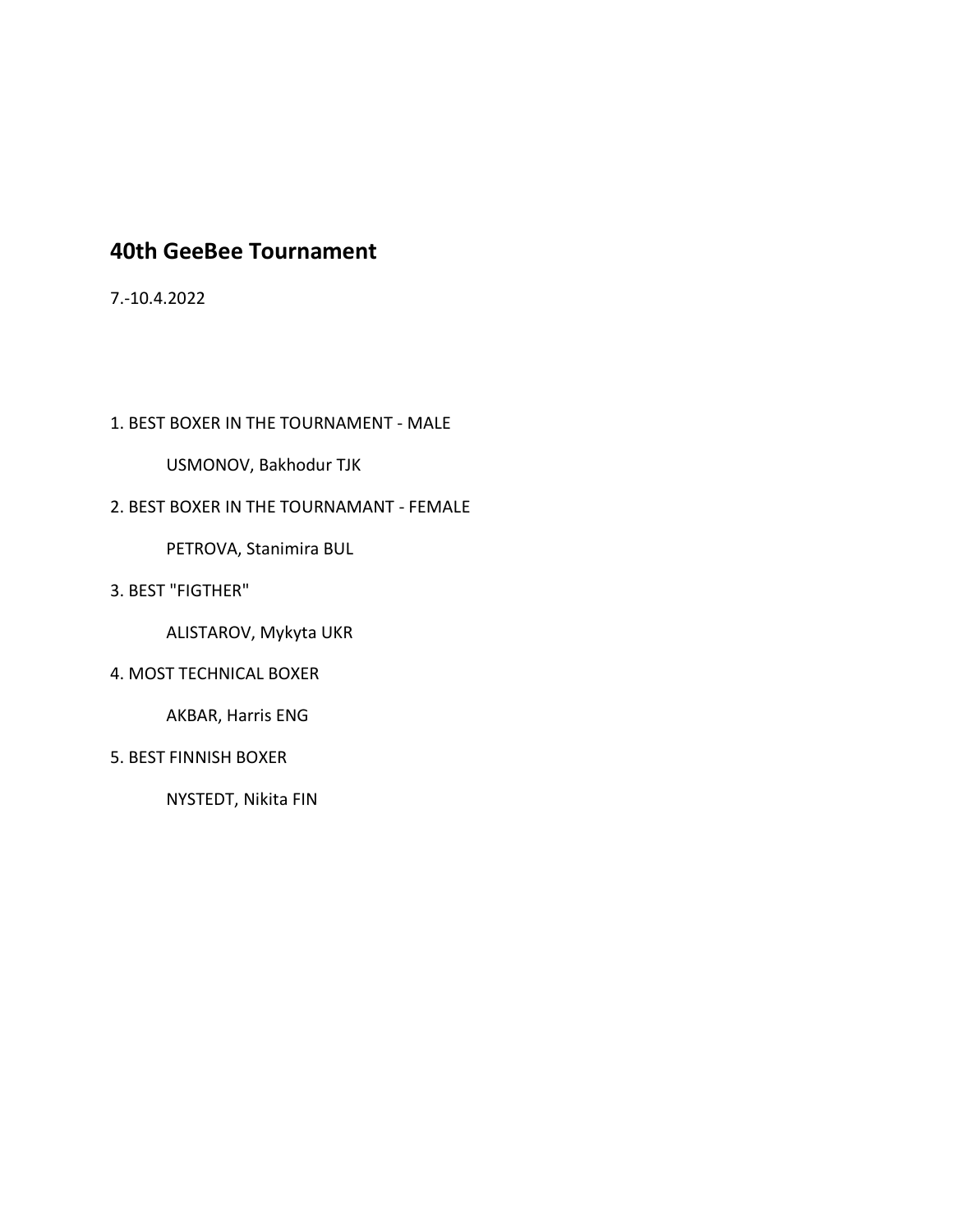### **40th GeeBee Tournament**

7.-10.4.2022

1. BEST BOXER IN THE TOURNAMENT - MALE

USMONOV, Bakhodur TJK

#### 2. BEST BOXER IN THE TOURNAMANT - FEMALE

PETROVA, Stanimira BUL

3. BEST "FIGTHER"

ALISTAROV, Mykyta UKR

4. MOST TECHNICAL BOXER

AKBAR, Harris ENG

5. BEST FINNISH BOXER

NYSTEDT, Nikita FIN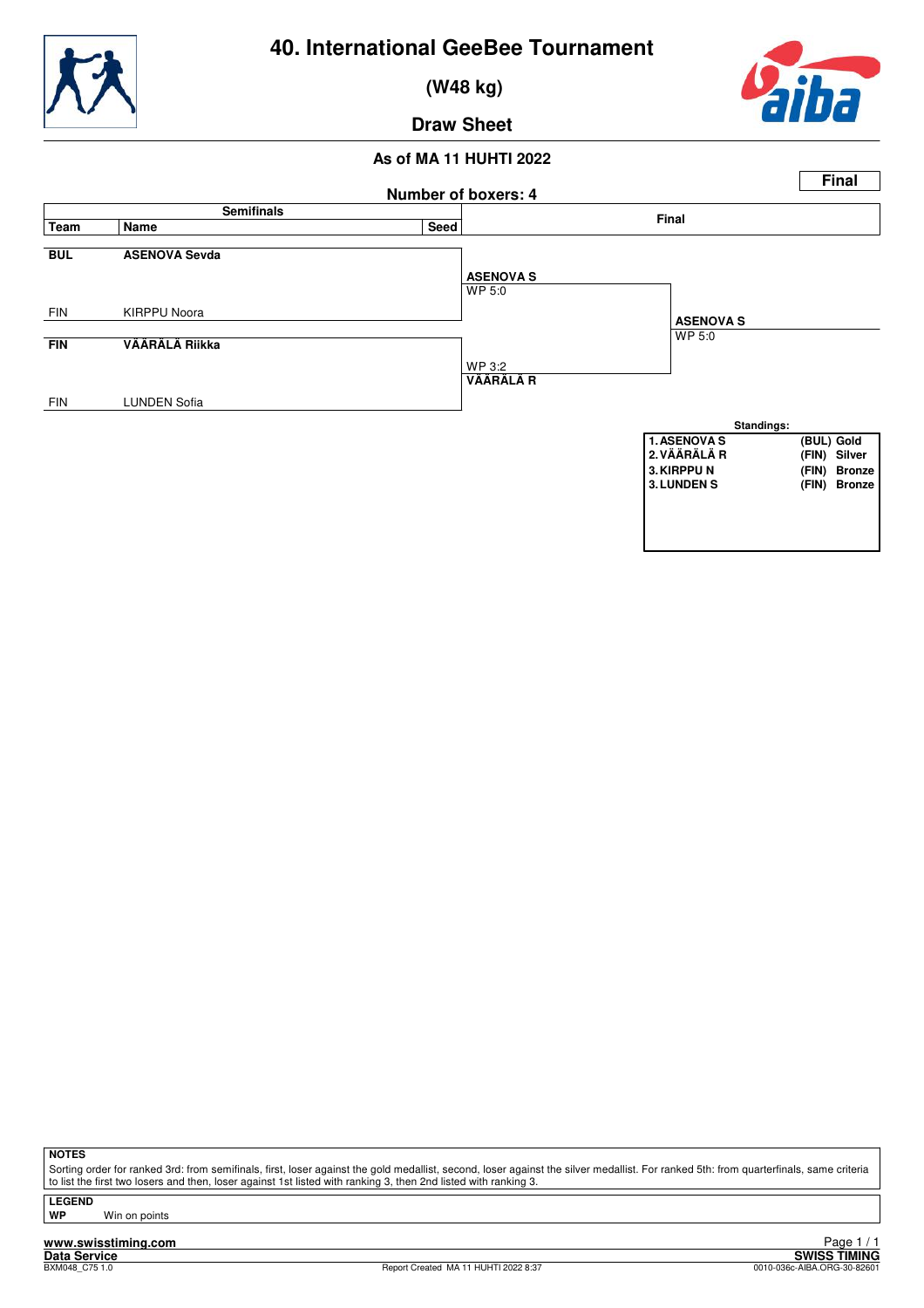

 **(W48 kg)**



**Draw Sheet**

#### **As of MA 11 HUHTI 2022**



**NOTES**

Sorting order for ranked 3rd: from semifinals, first, loser against the gold medallist, second, loser against the silver medallist. For ranked 5th: from quarterfinals, same criteria to list the first two losers and then, loser against 1st listed with ranking 3, then 2nd listed with ranking 3.

**LEGEND**

**WP** Win on points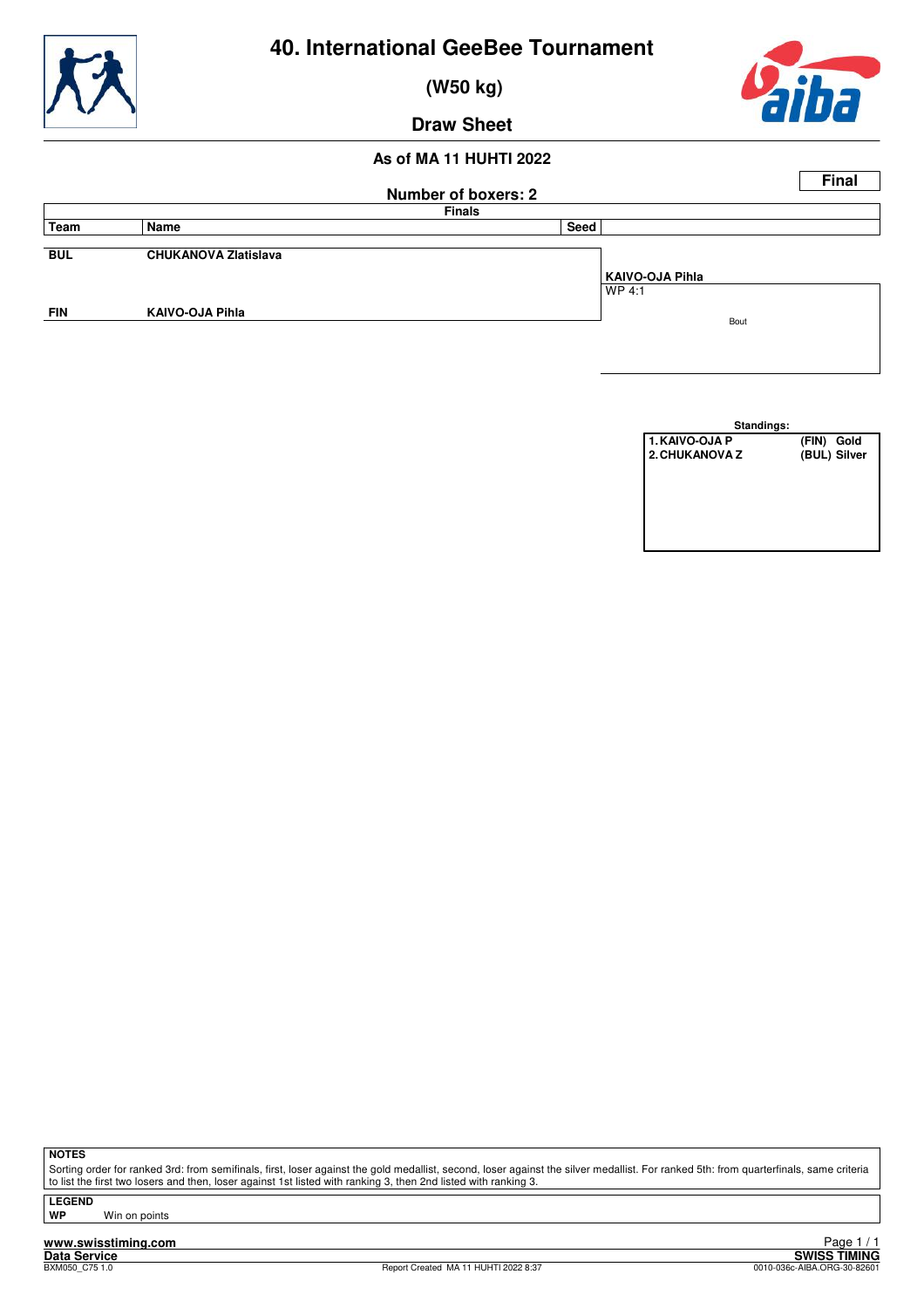

 **(W50 kg)**



**Draw Sheet**

#### **As of MA 11 HUHTI 2022**

|            |                             |                            | <b>Final</b>    |
|------------|-----------------------------|----------------------------|-----------------|
|            |                             | <b>Number of boxers: 2</b> |                 |
|            |                             | <b>Finals</b>              |                 |
| Team       | Name                        | Seed                       |                 |
|            |                             |                            |                 |
| <b>BUL</b> | <b>CHUKANOVA Zlatislava</b> |                            |                 |
|            |                             |                            | KAIVO-OJA Pihla |
|            |                             |                            | WP 4:1          |
| <b>FIN</b> | <b>KAIVO-OJA Pihla</b>      |                            | Bout            |
|            |                             |                            |                 |
|            |                             |                            |                 |

| Standings:            |            |              |
|-----------------------|------------|--------------|
| <b>1. KAIVO-OJA P</b> | (FIN) Gold |              |
| 2. CHUKANOVA Z        |            | (BUL) Silver |
|                       |            |              |
|                       |            |              |
|                       |            |              |
|                       |            |              |
|                       |            |              |
|                       |            |              |

**NOTES**

Sorting order for ranked 3rd: from semifinals, first, loser against the gold medallist, second, loser against the silver medallist. For ranked 5th: from quarterfinals, same criteria to list the first two losers and then, loser against 1st listed with ranking 3, then 2nd listed with ranking 3.

**LEGEND**

**Win on points**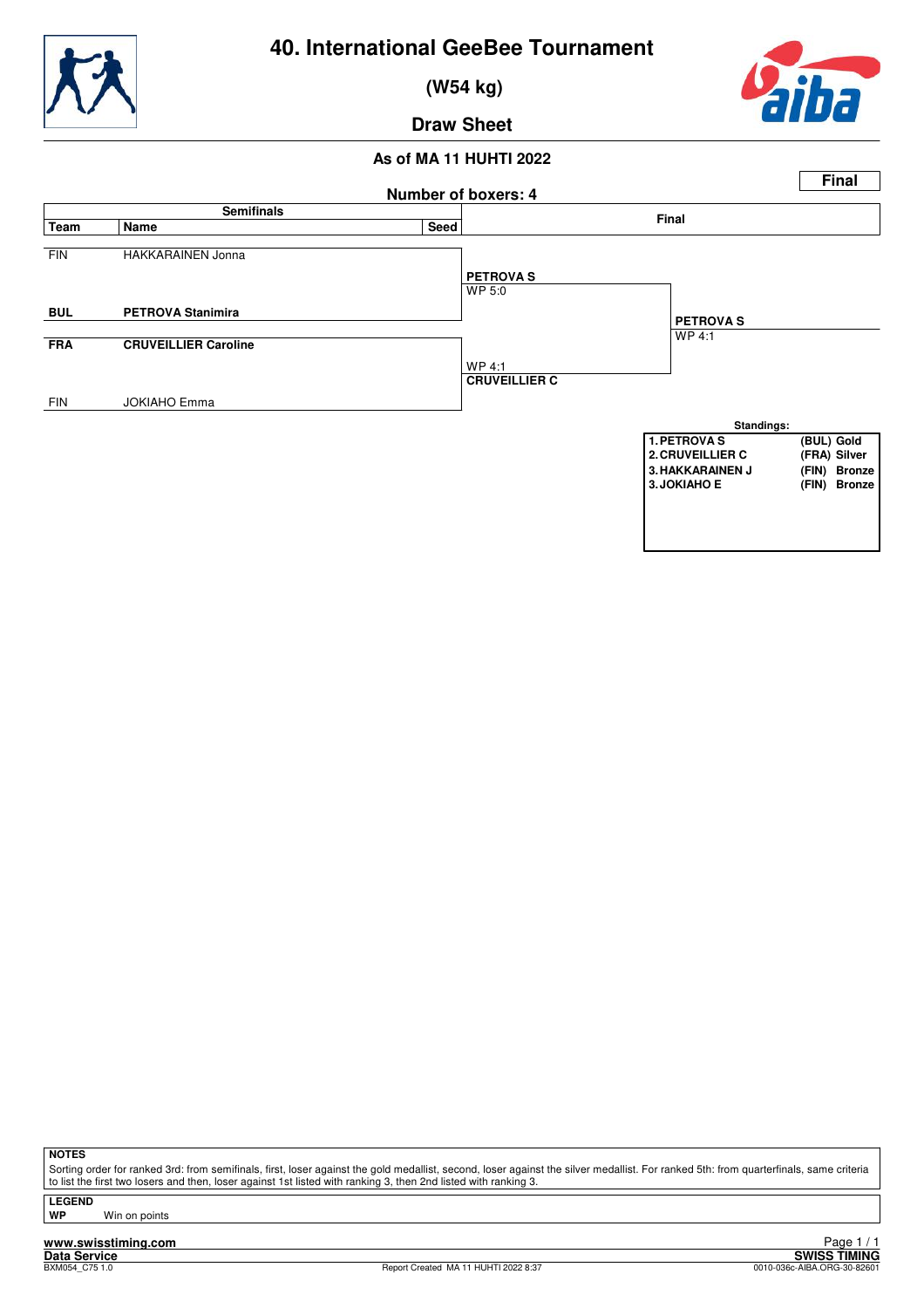

 **(W54 kg)**



**Draw Sheet**

#### **As of MA 11 HUHTI 2022**



**NOTES**

Sorting order for ranked 3rd: from semifinals, first, loser against the gold medallist, second, loser against the silver medallist. For ranked 5th: from quarterfinals, same criteria to list the first two losers and then, loser against 1st listed with ranking 3, then 2nd listed with ranking 3.

**LEGEND**

**Win on points**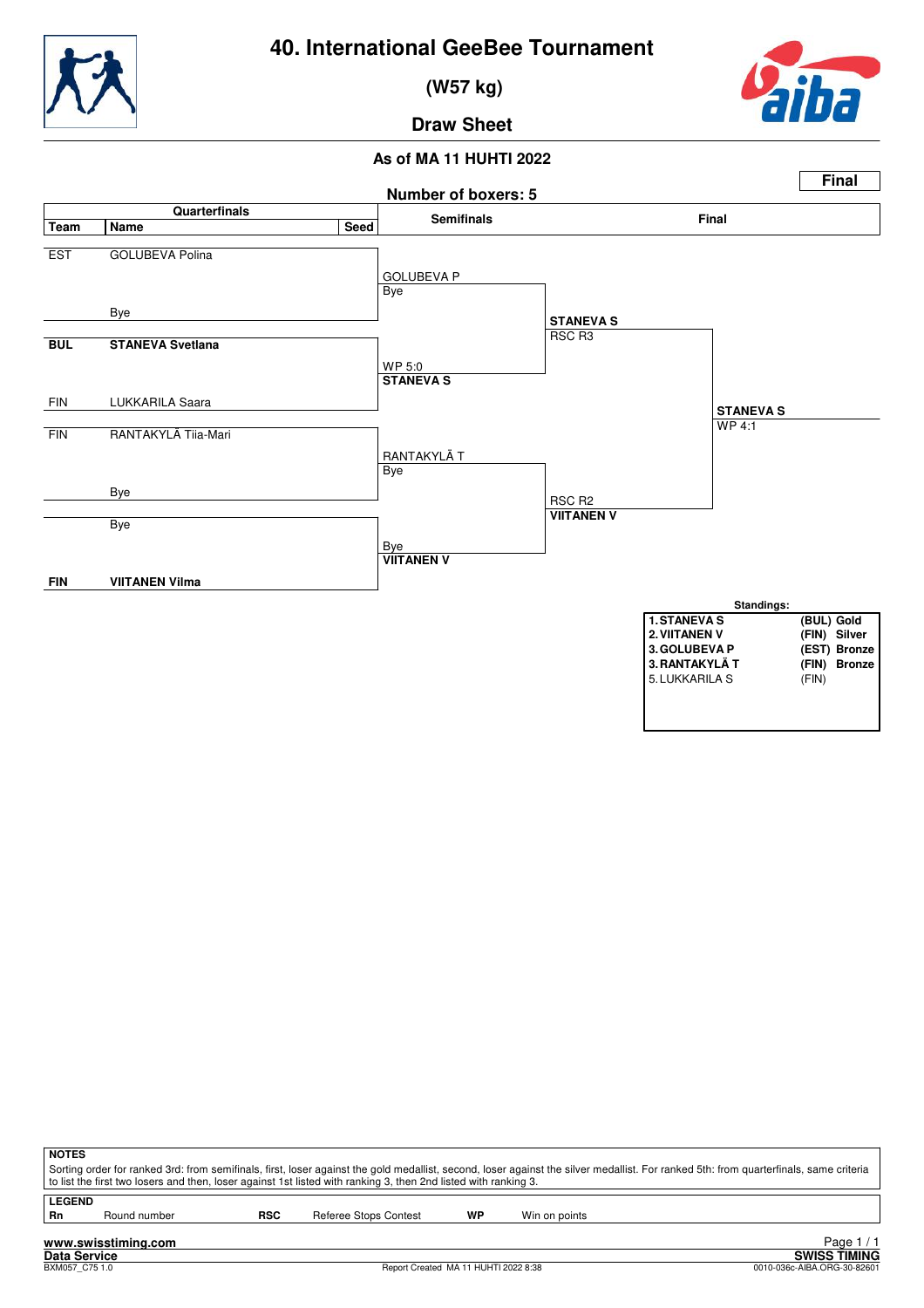

 **(W57 kg)**



**Draw Sheet**

#### **As of MA 11 HUHTI 2022**



| <b>NOTES</b>  |                                                                                                                                                                                       |            |                       |    |               |  |  |
|---------------|---------------------------------------------------------------------------------------------------------------------------------------------------------------------------------------|------------|-----------------------|----|---------------|--|--|
|               | Sorting order for ranked 3rd: from semifinals, first, loser against the gold medallist, second, loser against the silver medallist. For ranked 5th: from quarterfinals, same criteria |            |                       |    |               |  |  |
|               | to list the first two losers and then, loser against 1st listed with ranking 3, then 2nd listed with ranking 3.                                                                       |            |                       |    |               |  |  |
| <b>LEGEND</b> |                                                                                                                                                                                       |            |                       |    |               |  |  |
| Rn            | Round number                                                                                                                                                                          | <b>RSC</b> | Referee Stops Contest | WP | Win on points |  |  |
|               |                                                                                                                                                                                       |            |                       |    |               |  |  |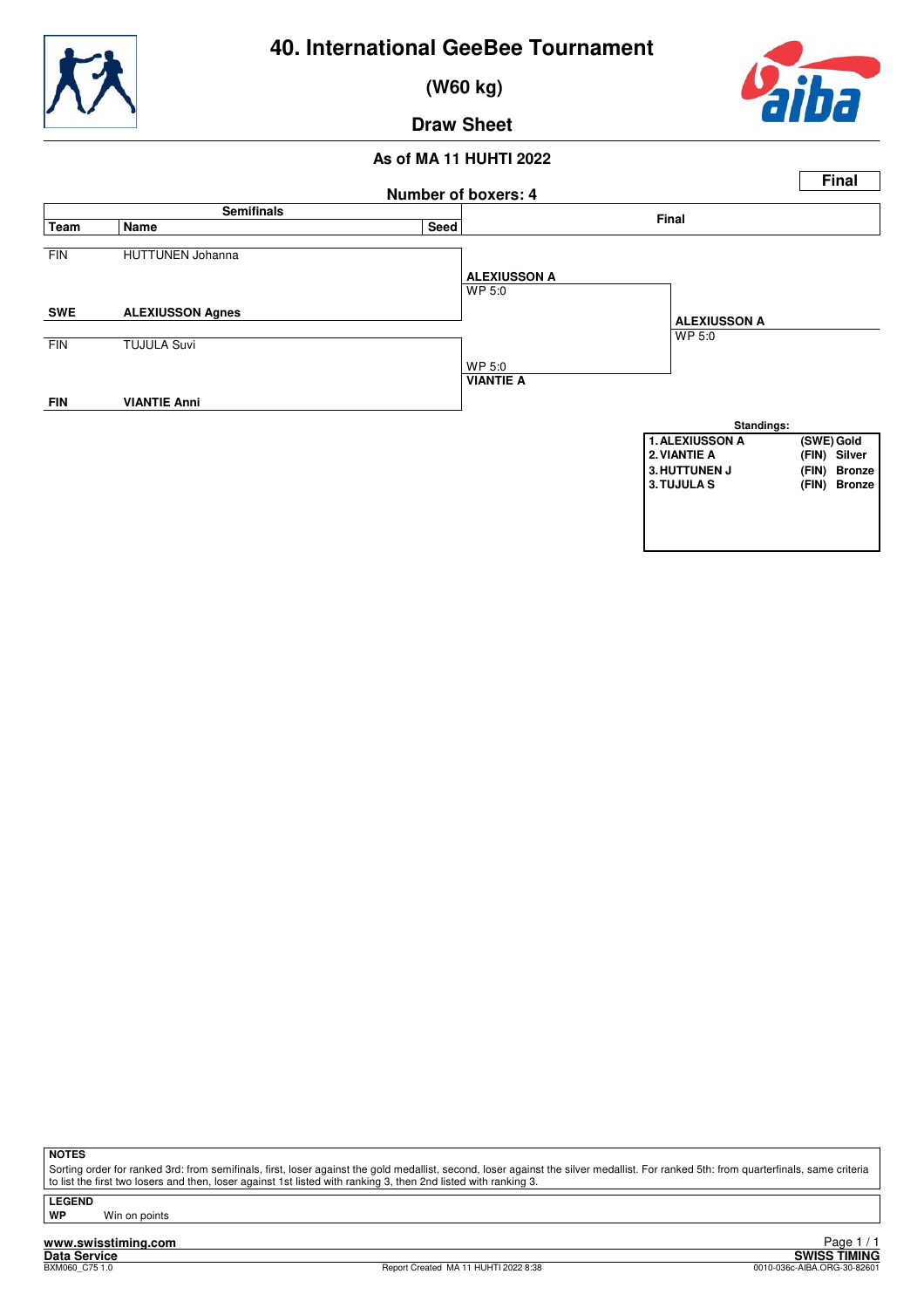

 **(W60 kg)**



**Draw Sheet**

#### **As of MA 11 HUHTI 2022**



**NOTES**

Sorting order for ranked 3rd: from semifinals, first, loser against the gold medallist, second, loser against the silver medallist. For ranked 5th: from quarterfinals, same criteria to list the first two losers and then, loser against 1st listed with ranking 3, then 2nd listed with ranking 3.

**LEGEND**

**Win on points**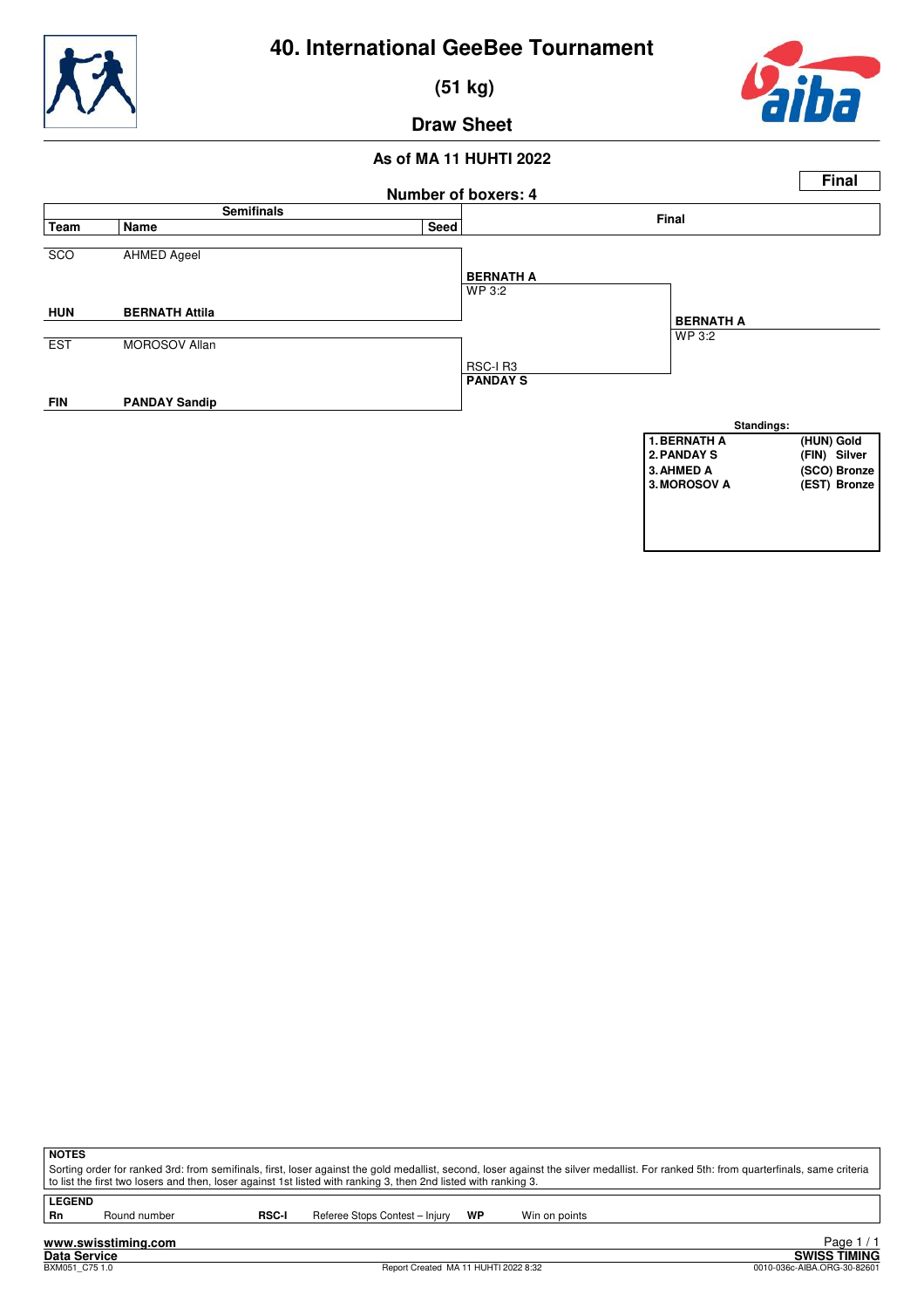

 **(51 kg)**



**Draw Sheet**

#### **As of MA 11 HUHTI 2022**



**NOTES**

Sorting order for ranked 3rd: from semifinals, first, loser against the gold medallist, second, loser against the silver medallist. For ranked 5th: from quarterfinals, same criteria to list the first two losers and then, loser against 1st listed with ranking 3, then 2nd listed with ranking 3.

**LEGEND**<br>Rn

Round number **RSC-I** Referee Stops Contest – Injury **WP** Win on points

**www.swisstiming.com Data Service SWISS TIMING**

1 / 1 Eager<br>BReport Created MA 11 HUHTI 2022 8:32<br>0010-036c-AIBA.ORG-30-82601 0010-036c-AIBA.ORG-30-82601 Page 1 / 1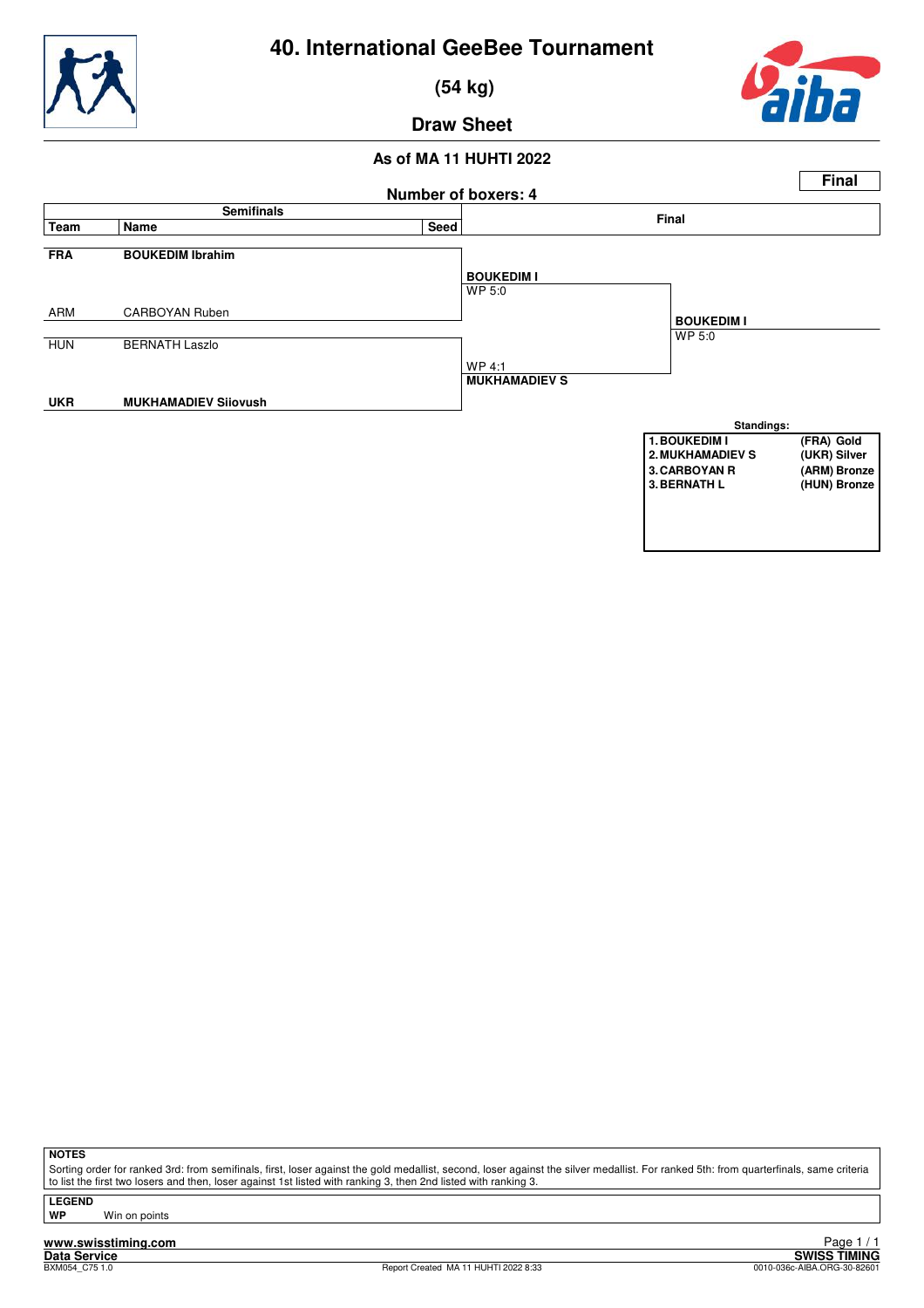



 **(54 kg)**



**Draw Sheet**

#### **As of MA 11 HUHTI 2022**



**NOTES**

Sorting order for ranked 3rd: from semifinals, first, loser against the gold medallist, second, loser against the silver medallist. For ranked 5th: from quarterfinals, same criteria to list the first two losers and then, loser against 1st listed with ranking 3, then 2nd listed with ranking 3.

**LEGEND**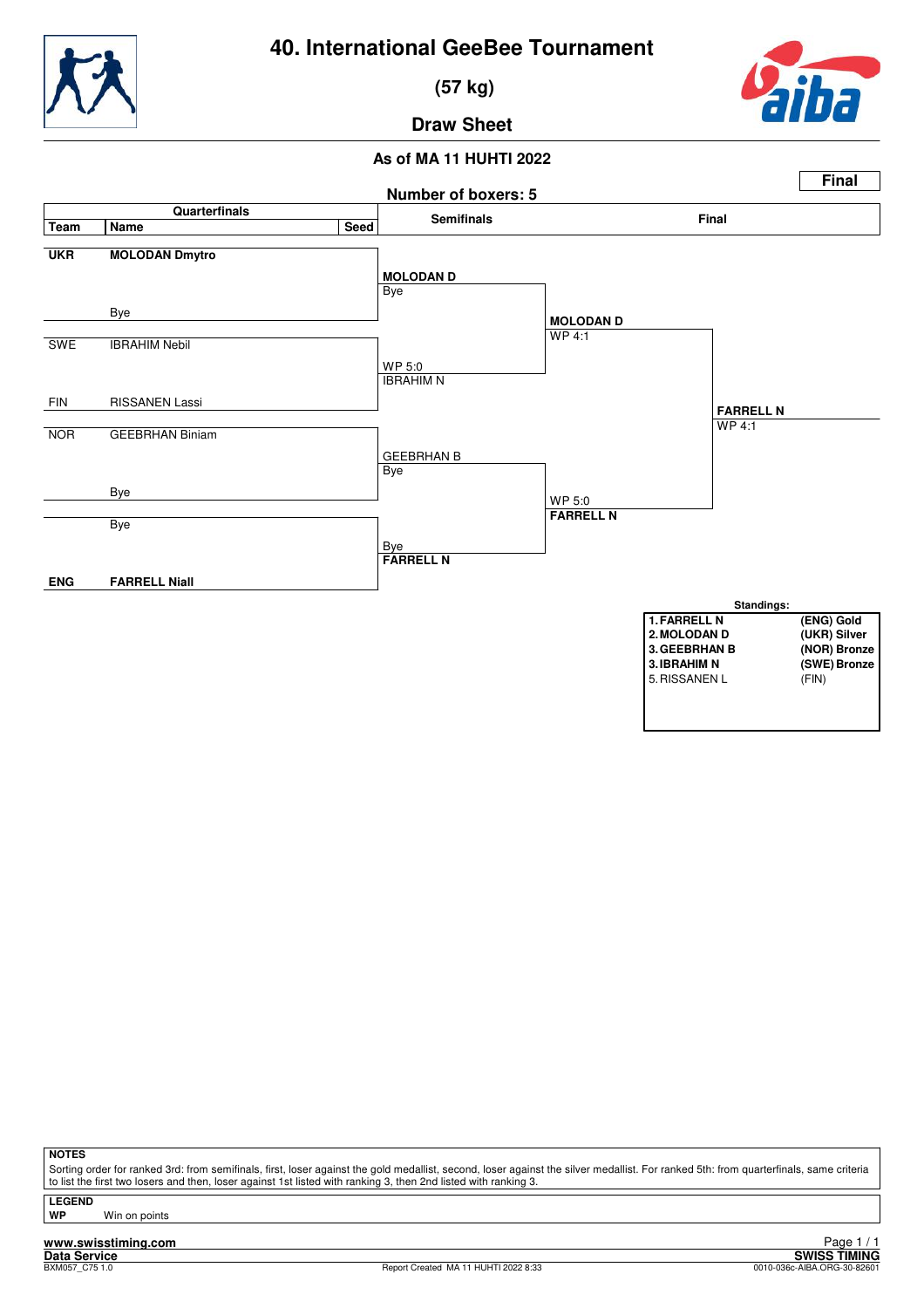

 **(57 kg)**



**Draw Sheet**

### **As of MA 11 HUHTI 2022**



**NOTES**

Sorting order for ranked 3rd: from semifinals, first, loser against the gold medallist, second, loser against the silver medallist. For ranked 5th: from quarterfinals, same criteria to list the first two losers and then, loser against 1st listed with ranking 3, then 2nd listed with ranking 3.

**LEGEND**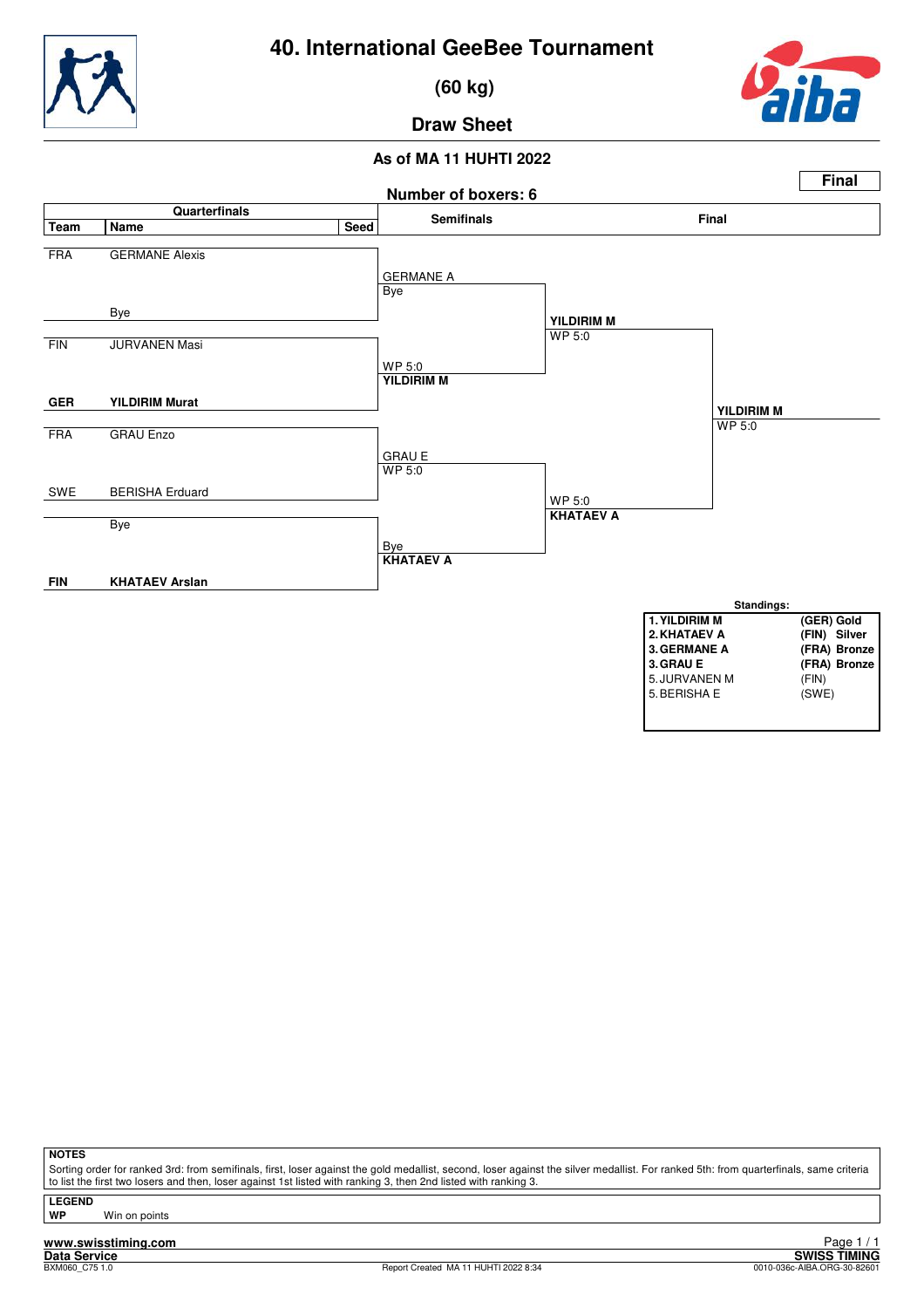

 **(60 kg)**



**Draw Sheet**

### **As of MA 11 HUHTI 2022**



#### **NOTES**

Sorting order for ranked 3rd: from semifinals, first, loser against the gold medallist, second, loser against the silver medallist. For ranked 5th: from quarterfinals, same criteria to list the first two losers and then, loser against 1st listed with ranking 3, then 2nd listed with ranking 3.

**LEGEND**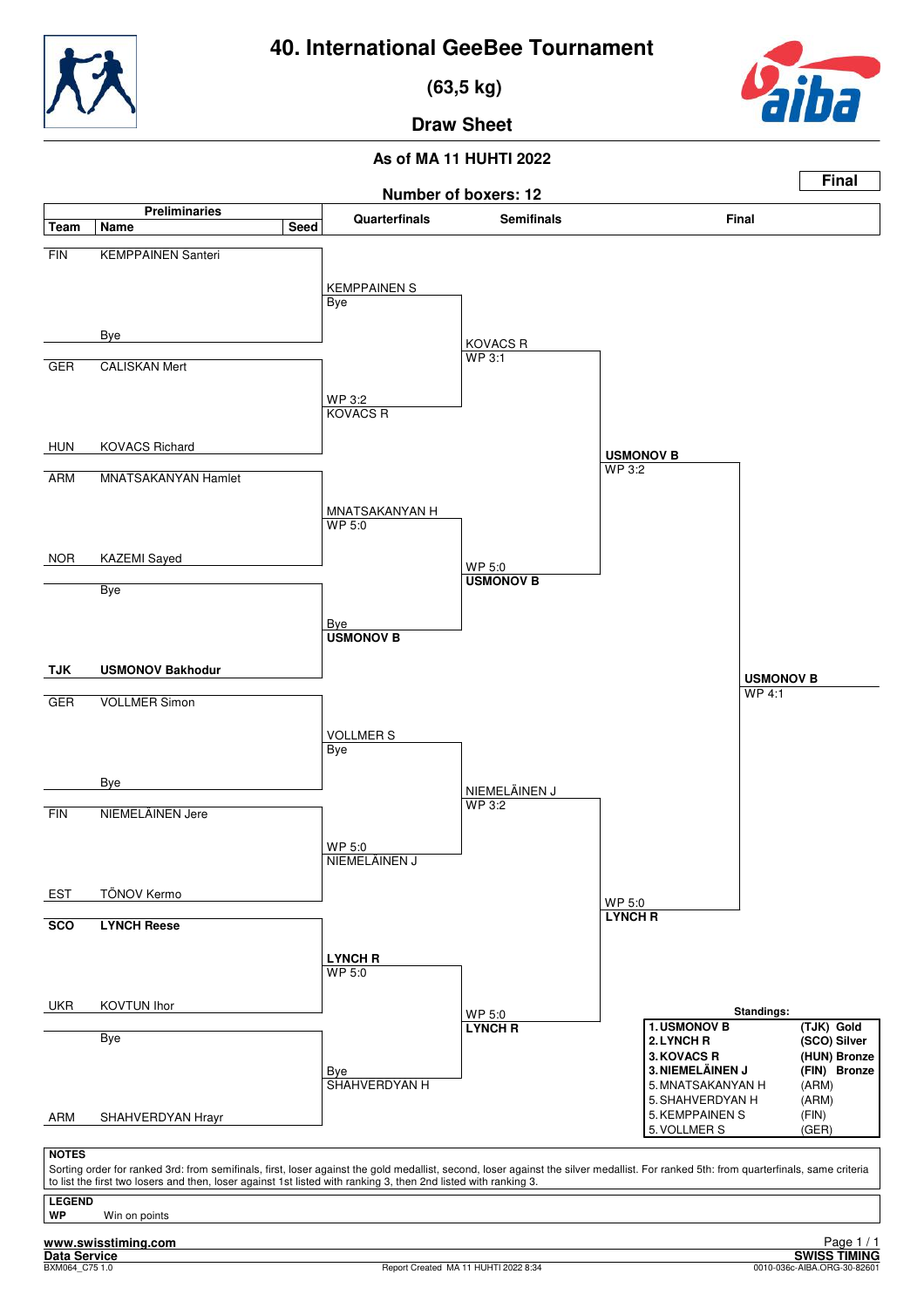

 **(63,5 kg)**



**Final**

**Draw Sheet**

#### **As of MA 11 HUHTI 2022**

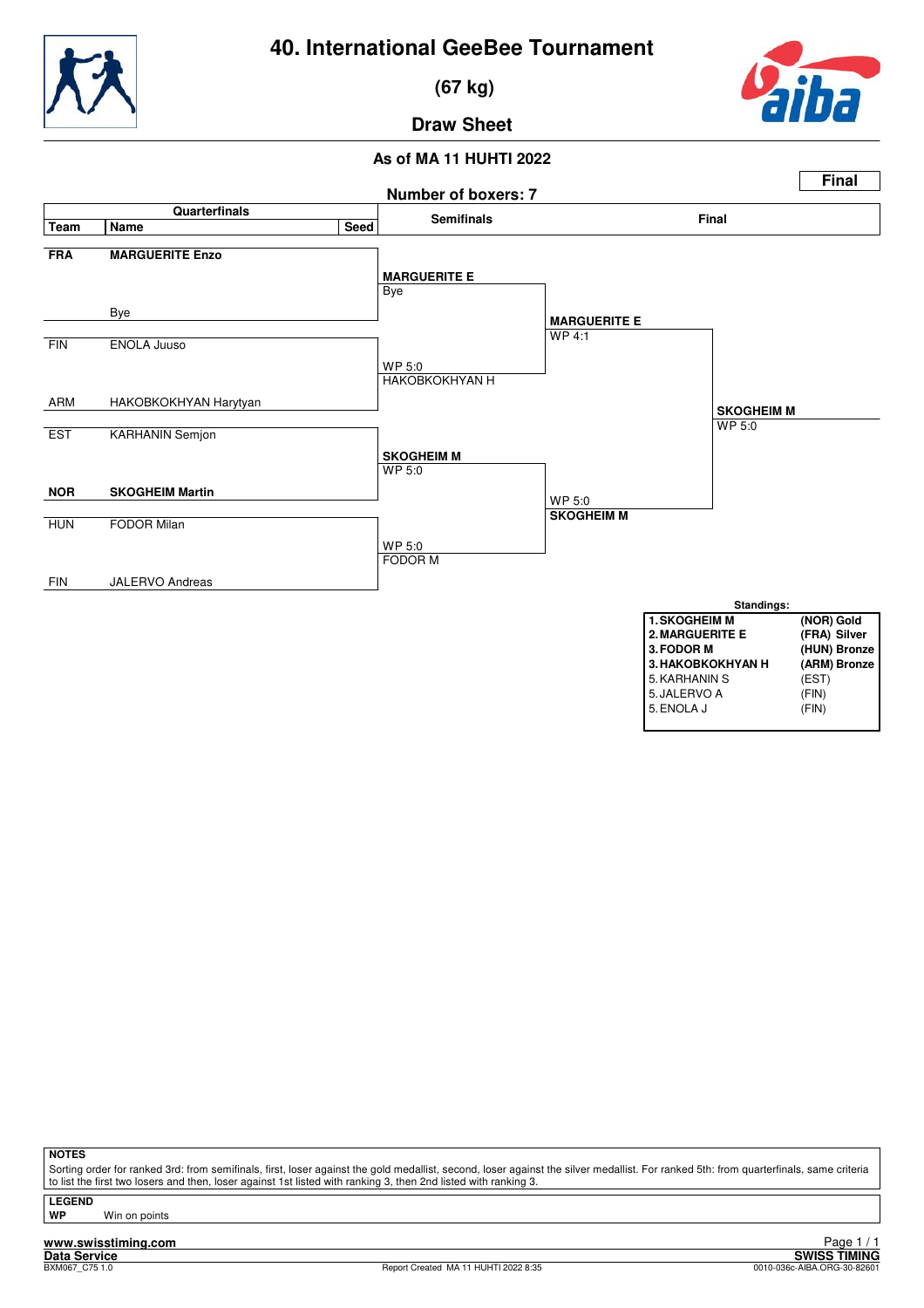

 **(67 kg)**



**Draw Sheet**



**NOTES**

Sorting order for ranked 3rd: from semifinals, first, loser against the gold medallist, second, loser against the silver medallist. For ranked 5th: from quarterfinals, same criteria to list the first two losers and then, loser against 1st listed with ranking 3, then 2nd listed with ranking 3.

**LEGEND**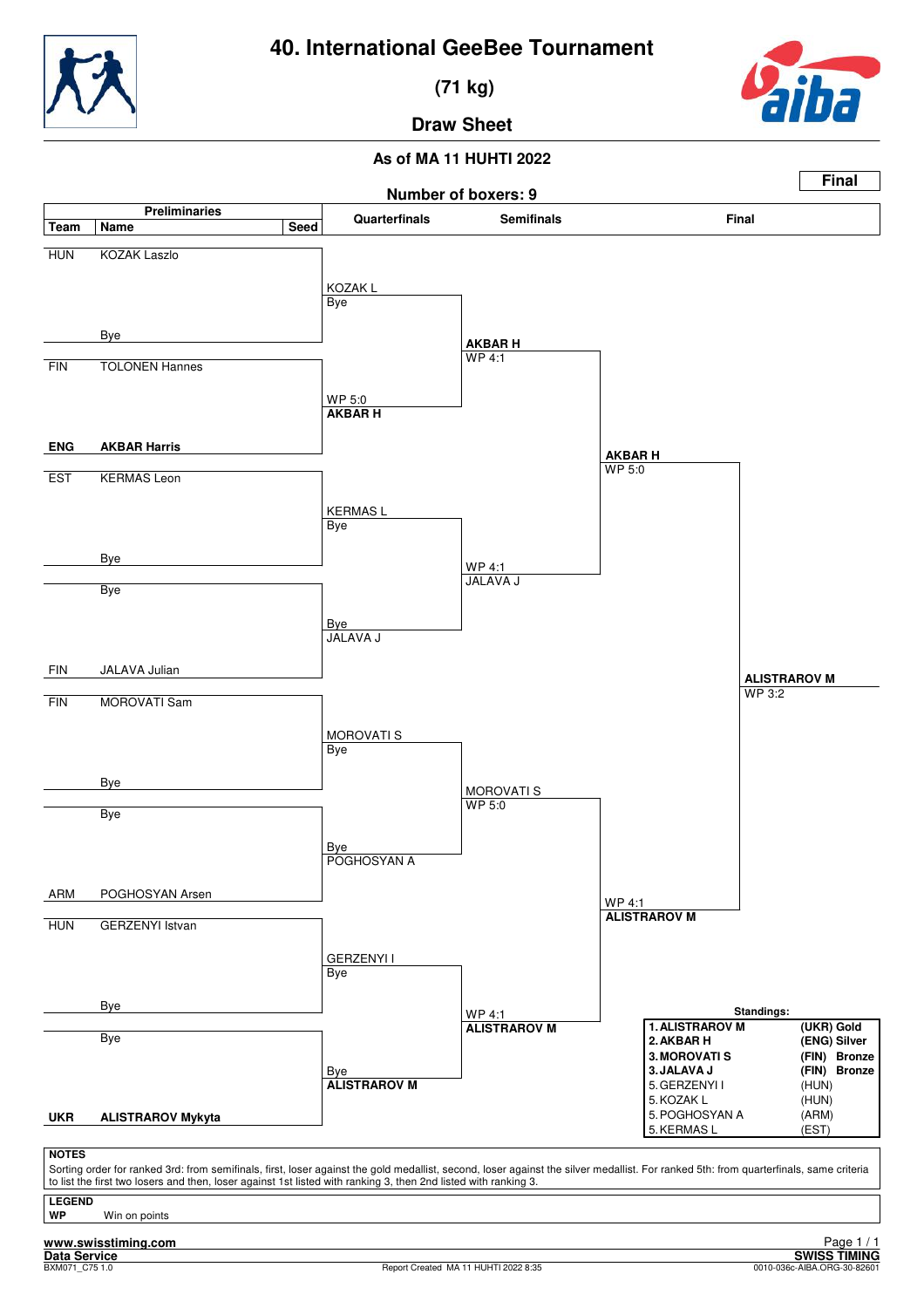

 **(71 kg)**



**Draw Sheet**

### **As of MA 11 HUHTI 2022**

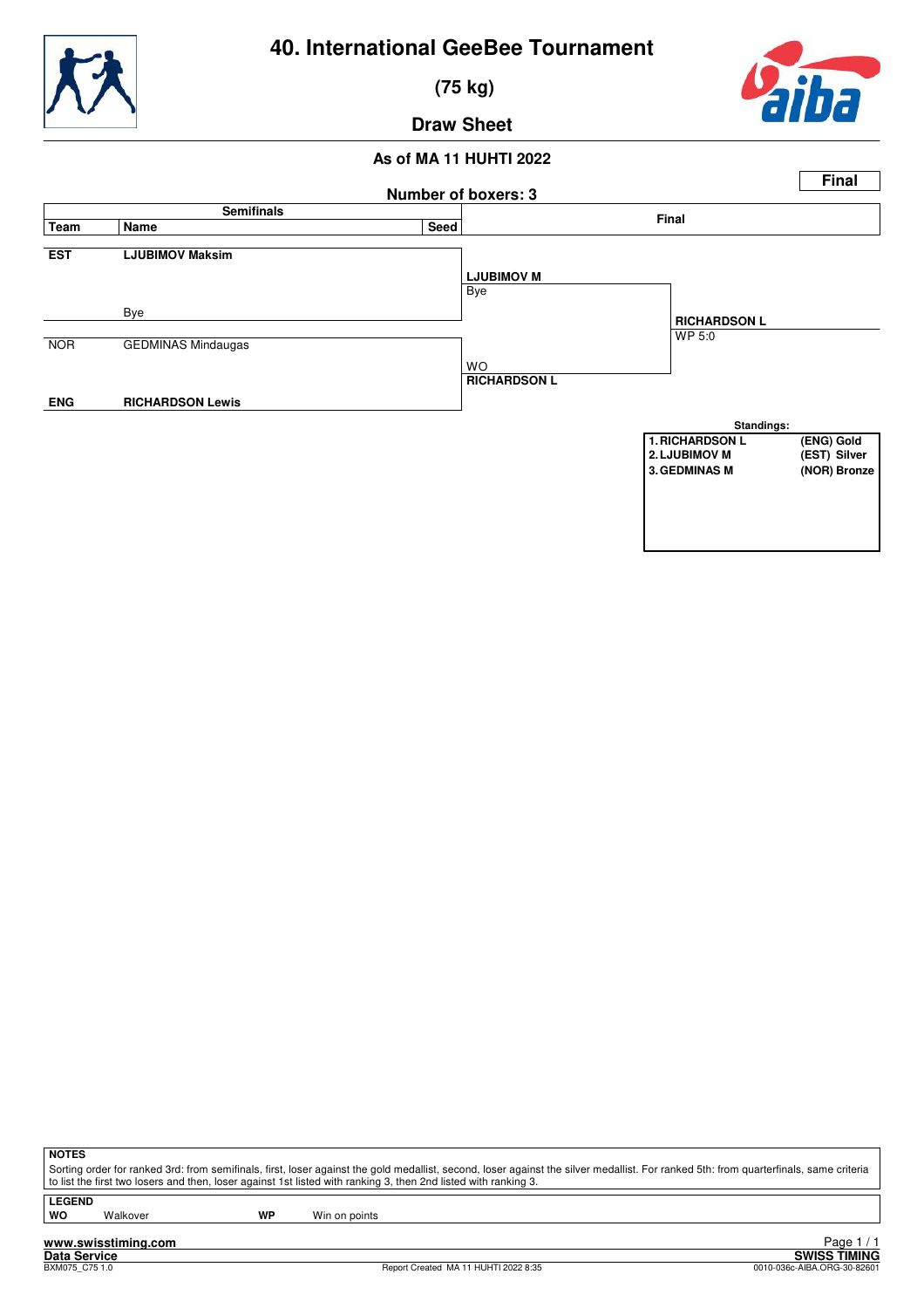



 **(75 kg)**



**Draw Sheet**

#### **As of MA 11 HUHTI 2022**



**NOTES**

Sorting order for ranked 3rd: from semifinals, first, loser against the gold medallist, second, loser against the silver medallist. For ranked 5th: from quarterfinals, same criteria to list the first two losers and then, loser against 1st listed with ranking 3, then 2nd listed with ranking 3.

**LEGEND**

Walkover **WP** Win on points

**www.swisstiming.com**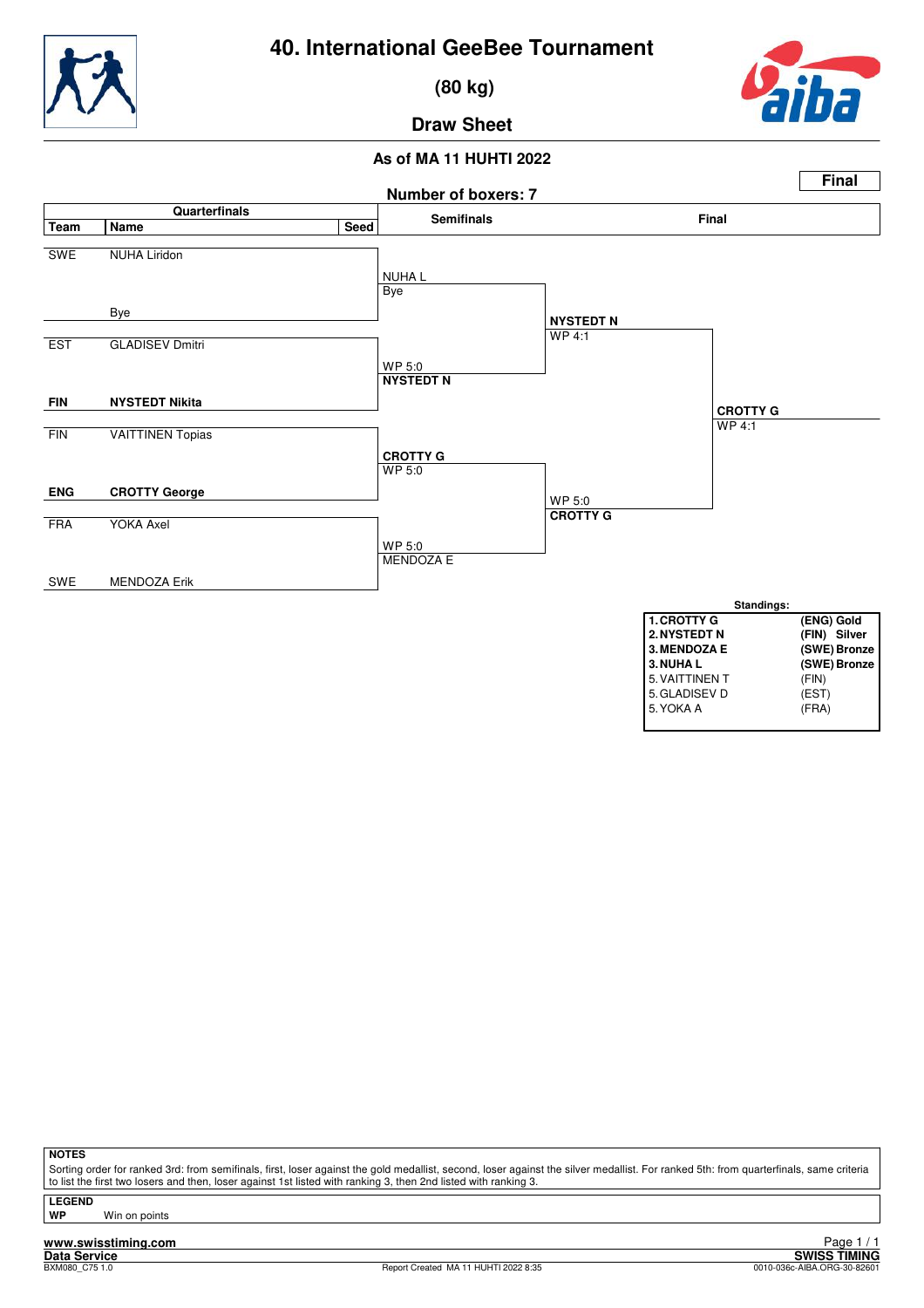

 **(80 kg)**



# **Draw Sheet**

#### **As of MA 11 HUHTI 2022**



**NOTES**

Sorting order for ranked 3rd: from semifinals, first, loser against the gold medallist, second, loser against the silver medallist. For ranked 5th: from quarterfinals, same criteria to list the first two losers and then, loser against 1st listed with ranking 3, then 2nd listed with ranking 3.

**LEGEND**

**Win on points** 

**www.swisstiming.com**<br>Data Service<br>BXM080\_C75.1.0

**Data Swiss TIMING**<br> **DATA SWISS TIMING**<br> **DREGLAR CRECATE** Page 1 / 1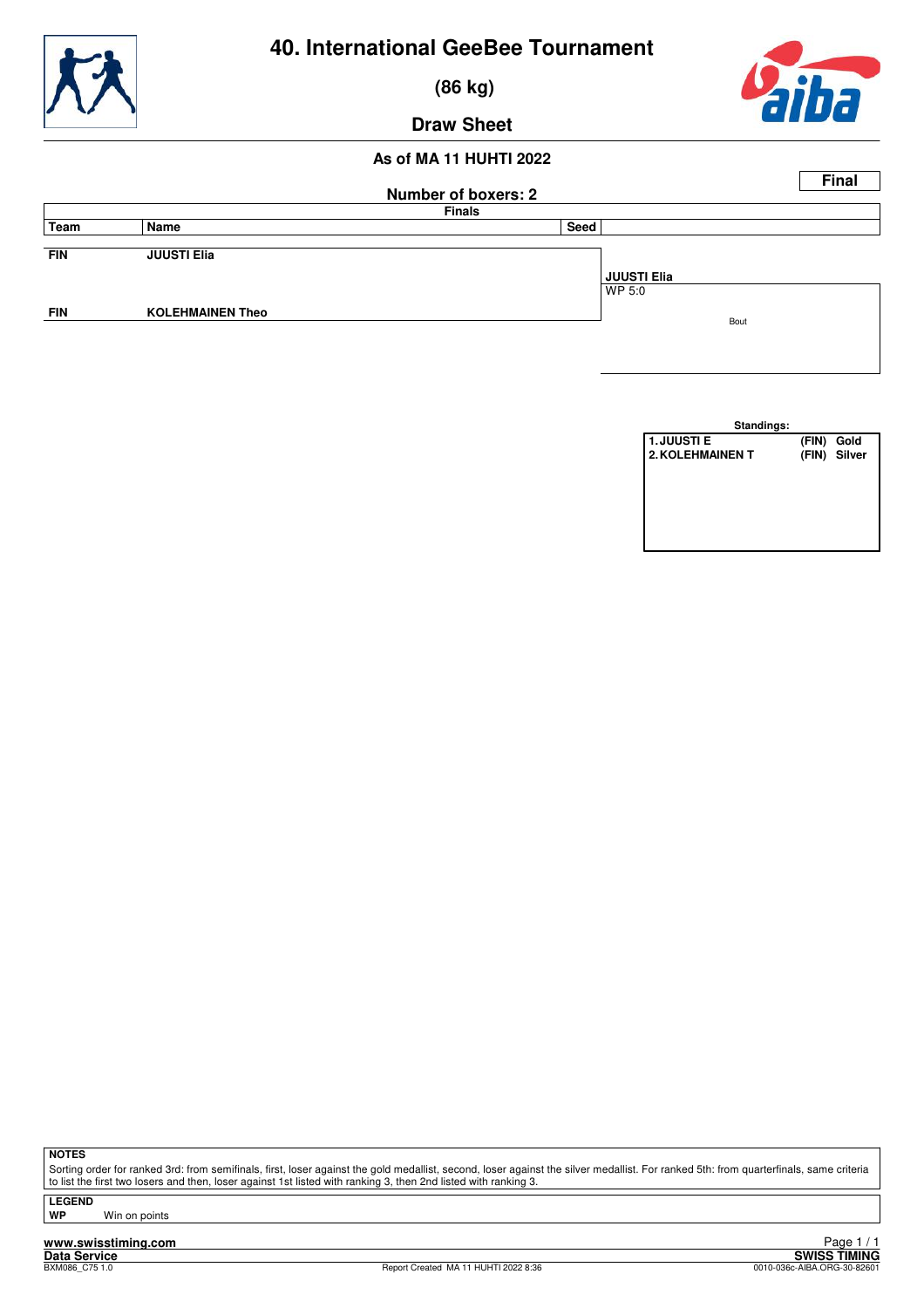

 **(86 kg)**

### **Draw Sheet**

#### **As of MA 11 HUHTI 2022**



| Standings:              |            |              |
|-------------------------|------------|--------------|
| <b>1. JUUSTI E</b>      | (FIN) Gold |              |
| <b>2. KOLEHMAINEN T</b> |            | (FIN) Silver |
|                         |            |              |
|                         |            |              |
|                         |            |              |
|                         |            |              |
|                         |            |              |
|                         |            |              |

**NOTES**

Sorting order for ranked 3rd: from semifinals, first, loser against the gold medallist, second, loser against the silver medallist. For ranked 5th: from quarterfinals, same criteria to list the first two losers and then, loser against 1st listed with ranking 3, then 2nd listed with ranking 3.

**LEGEND**

**Win on points**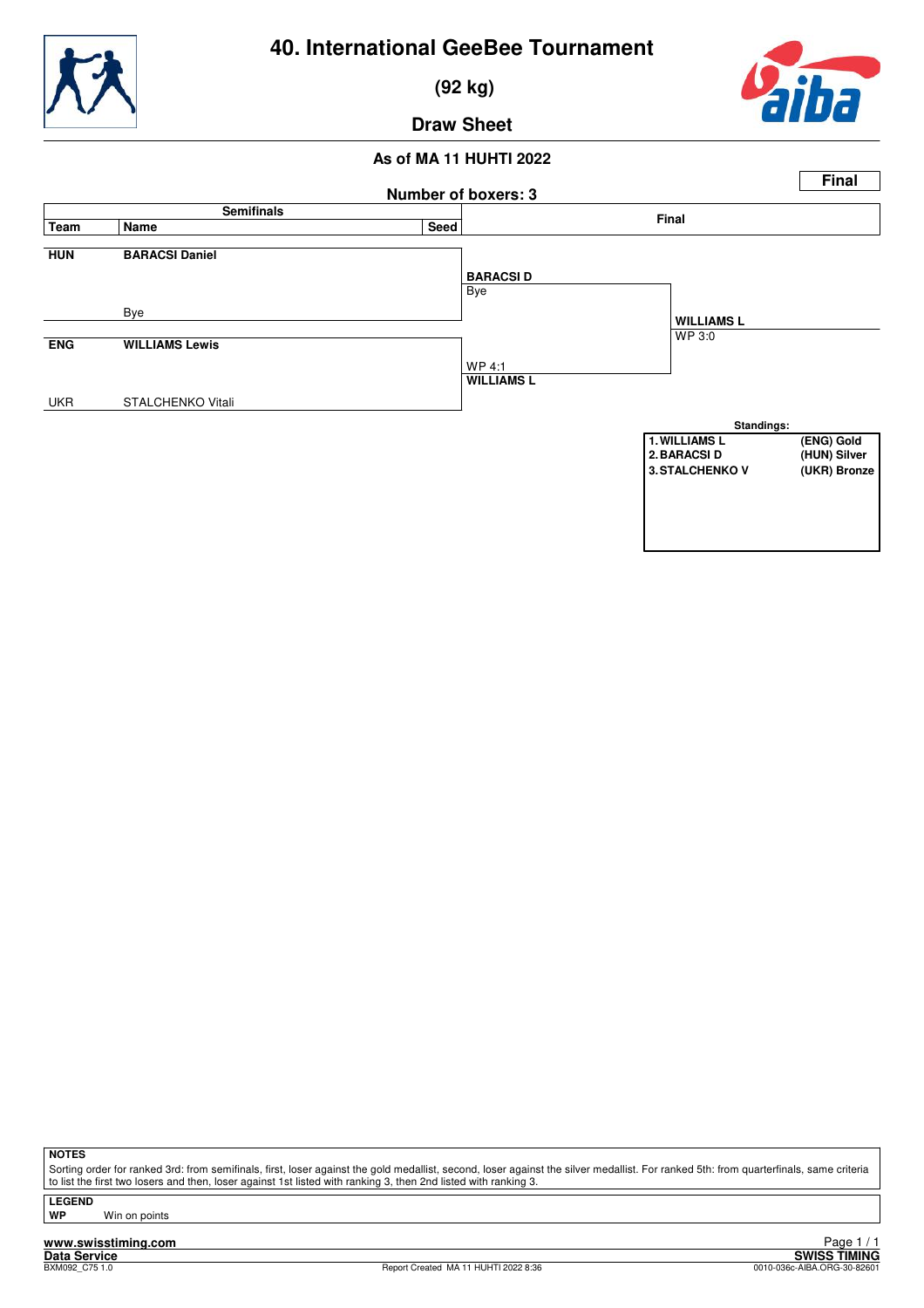



 **(92 kg)**



**Draw Sheet**

#### **As of MA 11 HUHTI 2022**



**NOTES**

Sorting order for ranked 3rd: from semifinals, first, loser against the gold medallist, second, loser against the silver medallist. For ranked 5th: from quarterfinals, same criteria to list the first two losers and then, loser against 1st listed with ranking 3, then 2nd listed with ranking 3.

**LEGEND**